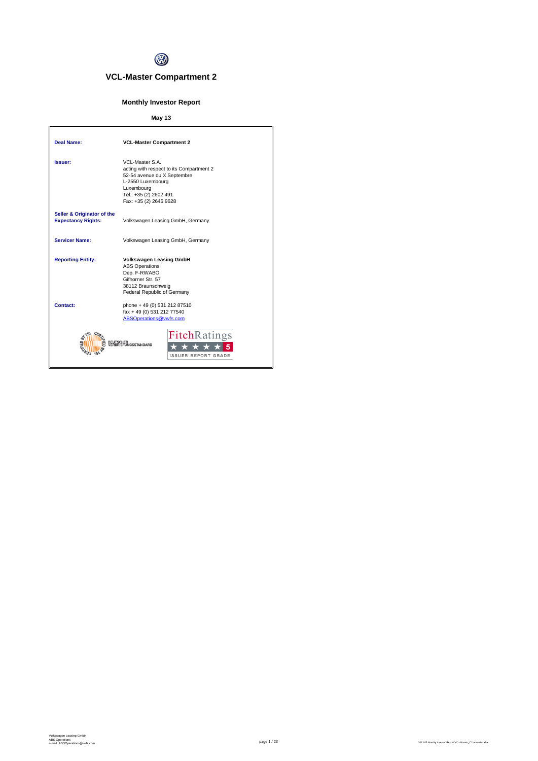

## **VCL-Master Compartment 2**

## **Monthly Investor Report**

## **May 13**

| <b>Deal Name:</b>                                       | <b>VCL-Master Compartment 2</b>                                                                                                                                                   |
|---------------------------------------------------------|-----------------------------------------------------------------------------------------------------------------------------------------------------------------------------------|
| Issuer:                                                 | VCL-Master S.A.<br>acting with respect to its Compartment 2<br>52-54 avenue du X Septembre<br>L-2550 Luxembourg<br>Luxembourg<br>Tel.: +35 (2) 2602 491<br>Fax: +35 (2) 2645 9628 |
| Seller & Originator of the<br><b>Expectancy Rights:</b> | Volkswagen Leasing GmbH, Germany                                                                                                                                                  |
| Servicer Name:                                          | Volkswagen Leasing GmbH, Germany                                                                                                                                                  |
| <b>Reporting Entity:</b>                                | <b>Volkswagen Leasing GmbH</b><br><b>ABS Operations</b><br>Dep. F-RWABO<br>Gifhorner Str. 57<br>38112 Braunschweig<br>Federal Republic of Germany                                 |
| Contact:                                                | phone + 49 (0) 531 212 87510<br>fax + 49 (0) 531 212 77540<br>ABSOperations@vwfs.com                                                                                              |
|                                                         | <b>FitchRatings</b><br><b>GSSTANDARD</b><br><b>ISSUER REPORT GRADE</b>                                                                                                            |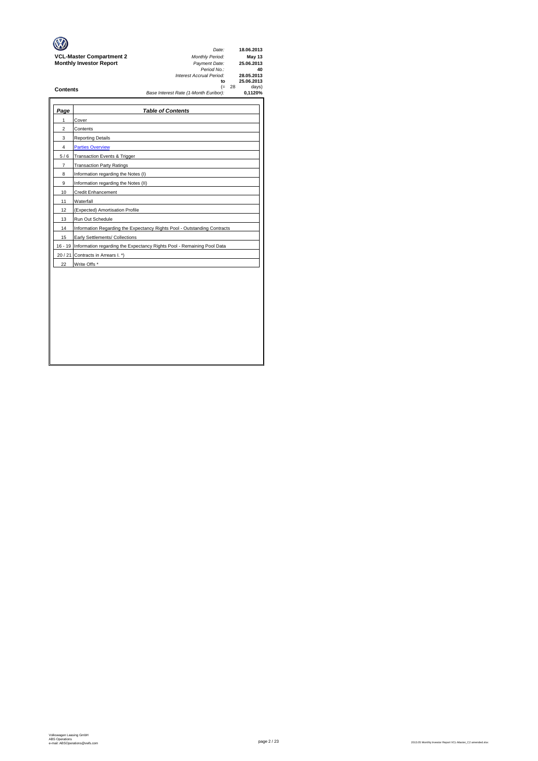|                                 | Date:                                 |    | 18.06.2013 |
|---------------------------------|---------------------------------------|----|------------|
| <b>VCL-Master Compartment 2</b> | <b>Monthly Period:</b>                |    | May 13     |
| <b>Monthly Investor Report</b>  | Payment Date:                         |    | 25.06.2013 |
|                                 | Period No.:                           |    | 40         |
|                                 | Interest Accrual Period:              |    | 28.05.2013 |
|                                 | to                                    |    | 25.06.2013 |
| Contents                        | (≕                                    | 28 | days)      |
|                                 | Base Interest Rate (1-Month Euribor): |    | 0,1120%    |
|                                 |                                       |    |            |

| Page           | <b>Table of Contents</b>                                                 |
|----------------|--------------------------------------------------------------------------|
| $\mathbf{1}$   | Cover                                                                    |
| $\overline{2}$ | Contents                                                                 |
| 3              | <b>Reporting Details</b>                                                 |
| 4              | <b>Parties Overview</b>                                                  |
| 5/6            | Transaction Events & Trigger                                             |
| $\overline{7}$ | <b>Transaction Party Ratings</b>                                         |
| 8              | Information regarding the Notes (I)                                      |
| 9              | Information regarding the Notes (II)                                     |
| 10             | Credit Enhancement                                                       |
| 11             | Waterfall                                                                |
| 12             | (Expected) Amortisation Profile                                          |
| 13             | Run Out Schedule                                                         |
| 14             | Information Regarding the Expectancy Rights Pool - Outstanding Contracts |
| 15             | Early Settlements/ Collections                                           |
| $16 - 19$      | Information regarding the Expectancy Rights Pool - Remaining Pool Data   |
| 20/21          | Contracts in Arrears I. *)                                               |
| 22             | Write Offs*                                                              |
|                |                                                                          |
|                |                                                                          |
|                |                                                                          |
|                |                                                                          |
|                |                                                                          |
|                |                                                                          |
|                |                                                                          |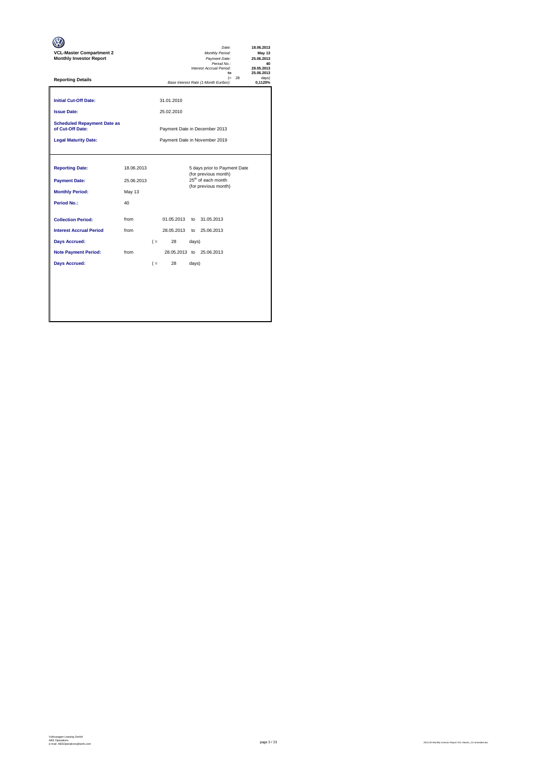| <b>VCL-Master Compartment 2</b><br><b>Monthly Investor Report</b>                                                                          |                               |                                                        | Date:<br>Monthly Period:<br>Payment Date:<br>Period No.:<br>Interest Accrual Period:<br>$\mathbf{f}$ | 18.06.2013<br>May 13<br>25.06.2013<br>40<br>28.05.2013<br>25.06.2013 |
|--------------------------------------------------------------------------------------------------------------------------------------------|-------------------------------|--------------------------------------------------------|------------------------------------------------------------------------------------------------------|----------------------------------------------------------------------|
| <b>Reporting Details</b>                                                                                                                   |                               |                                                        | Base Interest Rate (1-Month Euribor):                                                                | $(= 28)$<br>davs)<br>0,1120%                                         |
| <b>Initial Cut-Off Date:</b><br><b>Issue Date:</b>                                                                                         |                               | 31.01.2010<br>25.02.2010                               |                                                                                                      |                                                                      |
| <b>Scheduled Repayment Date as</b><br>of Cut-Off Date:                                                                                     | Payment Date in December 2013 |                                                        |                                                                                                      |                                                                      |
| <b>Legal Maturity Date:</b>                                                                                                                |                               |                                                        | Payment Date in November 2019                                                                        |                                                                      |
| <b>Reporting Date:</b><br><b>Payment Date:</b>                                                                                             | 18.06.2013<br>25.06.2013      |                                                        | 5 days prior to Payment Date<br>(for previous month)<br>25 <sup>th</sup> of each month               |                                                                      |
| <b>Monthly Period:</b>                                                                                                                     | May 13                        |                                                        | (for previous month)                                                                                 |                                                                      |
| <b>Period No.:</b>                                                                                                                         | 40                            |                                                        |                                                                                                      |                                                                      |
| <b>Collection Period:</b><br><b>Interest Accrual Period</b><br><b>Days Accrued:</b><br><b>Note Payment Period:</b><br><b>Days Accrued:</b> | from<br>from<br>from          | 01.05.2013<br>28.05.2013<br>28<br>$($ =<br>28<br>$($ = | to 31.05.2013<br>to 25.06.2013<br>days)<br>28.05.2013 to 25.06.2013<br>days)                         |                                                                      |
|                                                                                                                                            |                               |                                                        |                                                                                                      |                                                                      |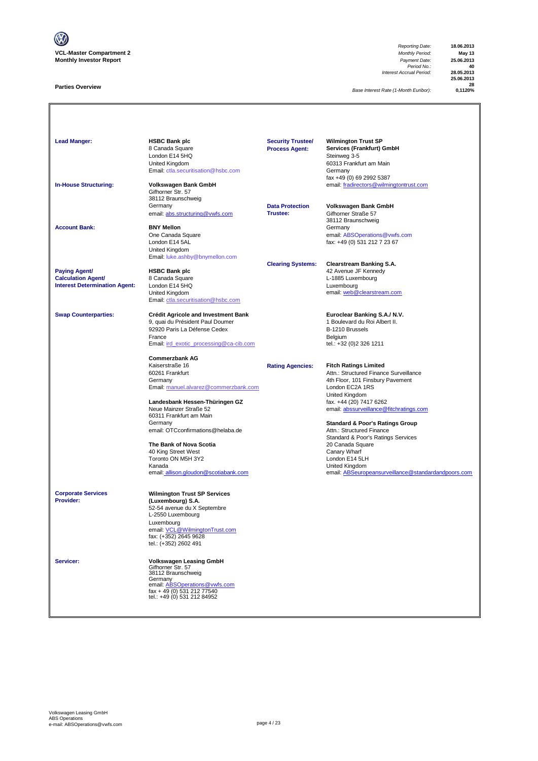

## **Parties Overview**

*Reporting Date:* **18.06.2013** *Period No.:* **40** *Interest Accrual Period:* **28.05.2013**

**25.06.2013 28**

*Base Interest Rate (1-Month Euribor):* **0,1120%**

| <b>Lead Manger:</b><br><b>In-House Structuring:</b>                                       | <b>HSBC Bank plc</b><br>8 Canada Square<br>London E14 5HQ<br>United Kingdom<br>Email: ctla.securitisation@hsbc.com<br>Volkswagen Bank GmbH                                                                                                                                                                                                                                        | <b>Security Trustee/</b><br><b>Process Agent:</b> | <b>Wilmington Trust SP</b><br>Services (Frankfurt) GmbH<br>Steinweg 3-5<br>60313 Frankfurt am Main<br>Germany<br>fax +49 (0) 69 2992 5387<br>email: fradirectors@wilmingtontrust.com                                                                                                                                                                                                                                                                                  |
|-------------------------------------------------------------------------------------------|-----------------------------------------------------------------------------------------------------------------------------------------------------------------------------------------------------------------------------------------------------------------------------------------------------------------------------------------------------------------------------------|---------------------------------------------------|-----------------------------------------------------------------------------------------------------------------------------------------------------------------------------------------------------------------------------------------------------------------------------------------------------------------------------------------------------------------------------------------------------------------------------------------------------------------------|
|                                                                                           | Gifhorner Str. 57<br>38112 Braunschweig<br>Germany<br>email: abs.structuring@vwfs.com                                                                                                                                                                                                                                                                                             | <b>Data Protection</b><br><b>Trustee:</b>         | Volkswagen Bank GmbH<br>Gifhorner Straße 57<br>38112 Braunschweig                                                                                                                                                                                                                                                                                                                                                                                                     |
| <b>Account Bank:</b>                                                                      | <b>BNY Mellon</b><br>One Canada Square<br>London E14 5AL<br>United Kingdom<br>Email: luke.ashby@bnymellon.com                                                                                                                                                                                                                                                                     |                                                   | Germany<br>email: ABSOperations@vwfs.com<br>fax: +49 (0) 531 212 7 23 67                                                                                                                                                                                                                                                                                                                                                                                              |
| <b>Paying Agent/</b><br><b>Calculation Agent/</b><br><b>Interest Determination Agent:</b> | <b>HSBC Bank plc</b><br>8 Canada Square<br>London E14 5HQ<br>United Kingdom<br>Email: ctla.securitisation@hsbc.com                                                                                                                                                                                                                                                                | <b>Clearing Systems:</b>                          | <b>Clearstream Banking S.A.</b><br>42 Avenue JF Kennedy<br>L-1885 Luxembourg<br>Luxembourg<br>email: web@clearstream.com                                                                                                                                                                                                                                                                                                                                              |
| <b>Swap Counterparties:</b>                                                               | Crédit Agricole and Investment Bank<br>9, quai du Président Paul Doumer<br>92920 Paris La Défense Cedex<br>France<br>Email: ird_exotic_processing@ca-cib.com                                                                                                                                                                                                                      |                                                   | Euroclear Banking S.A./ N.V.<br>1 Boulevard du Roi Albert II.<br>B-1210 Brussels<br>Belgium<br>tel.: +32 (0)2 326 1211                                                                                                                                                                                                                                                                                                                                                |
|                                                                                           | <b>Commerzbank AG</b><br>Kaiserstraße 16<br>60261 Frankfurt<br>Germany<br>Email: manuel.alvarez@commerzbank.com<br>Landesbank Hessen-Thüringen GZ<br>Neue Mainzer Straße 52<br>60311 Frankfurt am Main<br>Germany<br>email: OTCconfirmations@helaba.de<br>The Bank of Nova Scotia<br>40 King Street West<br>Toronto ON M5H 3Y2<br>Kanada<br>email: allison.gloudon@scotiabank.com | <b>Rating Agencies:</b>                           | <b>Fitch Ratings Limited</b><br>Attn.: Structured Finance Surveillance<br>4th Floor, 101 Finsbury Pavement<br>London EC2A 1RS<br>United Kingdom<br>fax. +44 (20) 7417 6262<br>email: abssurveillance@fitchratings.com<br><b>Standard &amp; Poor's Ratings Group</b><br>Attn.: Structured Finance<br>Standard & Poor's Ratings Services<br>20 Canada Square<br>Canary Wharf<br>London E14 5LH<br>United Kingdom<br>email: ABSeuropeansurveillance@standardandpoors.com |
| <b>Corporate Services</b><br>Provider:                                                    | <b>Wilmington Trust SP Services</b><br>(Luxembourg) S.A.<br>52-54 avenue du X Septembre<br>L-2550 Luxembourg<br>Luxembourg<br>email: VCL@WilmingtonTrust.com<br>fax: (+352) 2645 9628<br>tel.: (+352) 2602 491                                                                                                                                                                    |                                                   |                                                                                                                                                                                                                                                                                                                                                                                                                                                                       |
| Servicer:                                                                                 | <b>Volkswagen Leasing GmbH</b><br>Gifhorner Str. 57<br>38112 Braunschweig<br>Germany<br>email: ABSOperations@vwfs.com<br>fax + 49 (0) 531 212 77540<br>tel.: +49 (0) 531 212 84952                                                                                                                                                                                                |                                                   |                                                                                                                                                                                                                                                                                                                                                                                                                                                                       |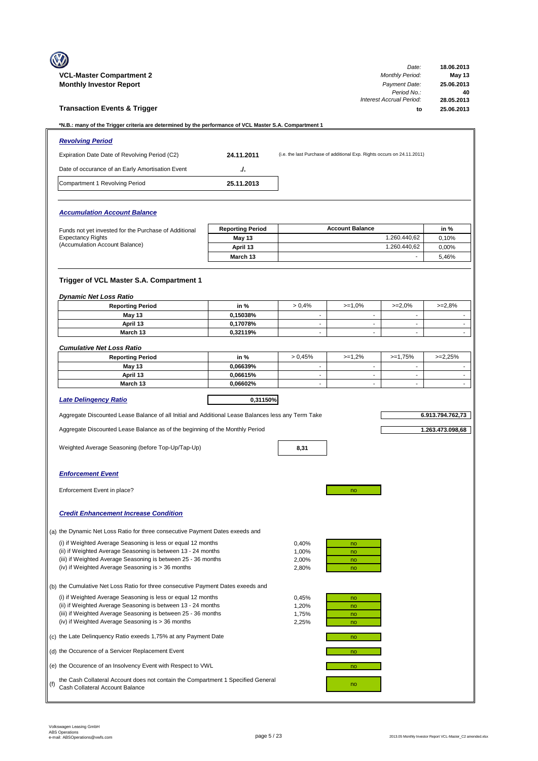|     |                                                                                                                                                                                    |                         |                                            |                                                                         | Date:                                      | 18.06.2013                                               |
|-----|------------------------------------------------------------------------------------------------------------------------------------------------------------------------------------|-------------------------|--------------------------------------------|-------------------------------------------------------------------------|--------------------------------------------|----------------------------------------------------------|
|     | <b>VCL-Master Compartment 2</b><br><b>Monthly Investor Report</b>                                                                                                                  |                         |                                            |                                                                         | <b>Monthly Period:</b><br>Payment Date:    | <b>May 13</b><br>25.06.2013                              |
|     |                                                                                                                                                                                    |                         |                                            |                                                                         | Period No.:<br>Interest Accrual Period:    | 40<br>28.05.2013                                         |
|     | <b>Transaction Events &amp; Trigger</b>                                                                                                                                            |                         |                                            |                                                                         | to                                         | 25.06.2013                                               |
|     | *N.B.: many of the Trigger criteria are determined by the performance of VCL Master S.A. Compartment 1                                                                             |                         |                                            |                                                                         |                                            |                                                          |
|     | <b>Revolving Period</b>                                                                                                                                                            |                         |                                            |                                                                         |                                            |                                                          |
|     | Expiration Date Date of Revolving Period (C2)                                                                                                                                      | 24.11.2011              |                                            | (i.e. the last Purchase of additional Exp. Rights occurs on 24.11.2011) |                                            |                                                          |
|     | Date of occurance of an Early Amortisation Event                                                                                                                                   | ./.                     |                                            |                                                                         |                                            |                                                          |
|     | Compartment 1 Revolving Period                                                                                                                                                     | 25.11.2013              |                                            |                                                                         |                                            |                                                          |
|     |                                                                                                                                                                                    |                         |                                            |                                                                         |                                            |                                                          |
|     | <b>Accumulation Account Balance</b>                                                                                                                                                |                         |                                            |                                                                         |                                            |                                                          |
|     | Funds not yet invested for the Purchase of Additional                                                                                                                              | <b>Reporting Period</b> |                                            | <b>Account Balance</b>                                                  |                                            | in %                                                     |
|     | <b>Expectancy Rights</b>                                                                                                                                                           | May 13                  |                                            |                                                                         | 1.260.440,62                               | 0,10%                                                    |
|     | (Accumulation Account Balance)                                                                                                                                                     | April 13                |                                            |                                                                         | 1.260.440,62                               | 0.00%                                                    |
|     |                                                                                                                                                                                    | March 13                |                                            |                                                                         | $\overline{\phantom{a}}$                   | 5,46%                                                    |
|     | Trigger of VCL Master S.A. Compartment 1                                                                                                                                           |                         |                                            |                                                                         |                                            |                                                          |
|     | <b>Dynamic Net Loss Ratio</b>                                                                                                                                                      |                         |                                            |                                                                         |                                            |                                                          |
|     | <b>Reporting Period</b>                                                                                                                                                            | in %                    | > 0.4%                                     | $>=1.0%$                                                                | $>=2,0%$                                   | $>=2,8%$                                                 |
|     | May 13                                                                                                                                                                             | 0,15038%                | $\overline{\phantom{a}}$<br>$\blacksquare$ | $\overline{\phantom{a}}$<br>$\overline{\phantom{a}}$                    | $\overline{\phantom{a}}$<br>$\blacksquare$ | $\qquad \qquad \blacksquare$<br>$\overline{\phantom{a}}$ |
|     | April 13<br>March 13                                                                                                                                                               | 0,17078%<br>0,32119%    | $\mathbf{r}$                               | $\mathcal{L}_{\mathcal{A}}$                                             | $\sim$                                     | ÷.                                                       |
|     |                                                                                                                                                                                    |                         |                                            |                                                                         |                                            |                                                          |
|     | <b>Cumulative Net Loss Ratio</b>                                                                                                                                                   |                         |                                            |                                                                         |                                            |                                                          |
|     | <b>Reporting Period</b>                                                                                                                                                            | in %<br>0.06639%        | > 0.45%<br>$\overline{a}$                  | $>=1,2%$<br>$\mathcal{L}_{\mathcal{A}}$                                 | $>=1,75%$<br>$\blacksquare$                | $>=2,25%$<br>$\blacksquare$                              |
|     | May 13<br>April 13                                                                                                                                                                 | 0,06615%                | $\overline{\phantom{a}}$                   | $\overline{\phantom{a}}$                                                | $\overline{\phantom{a}}$                   | $\overline{\phantom{a}}$                                 |
|     | March 13                                                                                                                                                                           | 0,06602%                | $\overline{\phantom{a}}$                   | $\sim$                                                                  | $\overline{\phantom{a}}$                   | $\blacksquare$                                           |
|     | <b>Late Delingency Ratio</b>                                                                                                                                                       | 0,31150%                |                                            |                                                                         |                                            |                                                          |
|     |                                                                                                                                                                                    |                         |                                            |                                                                         |                                            |                                                          |
|     | Aggregate Discounted Lease Balance of all Initial and Additional Lease Balances less any Term Take                                                                                 |                         |                                            |                                                                         |                                            | 6.913.794.762,73                                         |
|     | Aggregate Discounted Lease Balance as of the beginning of the Monthly Period                                                                                                       |                         |                                            |                                                                         |                                            | 1.263.473.098,68                                         |
|     | Weighted Average Seasoning (before Top-Up/Tap-Up)                                                                                                                                  |                         | 8,31                                       |                                                                         |                                            |                                                          |
|     |                                                                                                                                                                                    |                         |                                            |                                                                         |                                            |                                                          |
|     | <b>Enforcement Event</b>                                                                                                                                                           |                         |                                            |                                                                         |                                            |                                                          |
|     | Enforcement Event in place?                                                                                                                                                        |                         |                                            | no                                                                      |                                            |                                                          |
|     | <b>Credit Enhancement Increase Condition</b>                                                                                                                                       |                         |                                            |                                                                         |                                            |                                                          |
|     | (a) the Dynamic Net Loss Ratio for three consecutive Payment Dates exeeds and                                                                                                      |                         |                                            |                                                                         |                                            |                                                          |
|     | (i) if Weighted Average Seasoning is less or equal 12 months                                                                                                                       |                         | 0,40%                                      | no                                                                      |                                            |                                                          |
|     | (ii) if Weighted Average Seasoning is between 13 - 24 months                                                                                                                       |                         | 1,00%                                      | no                                                                      |                                            |                                                          |
|     | (iii) if Weighted Average Seasoning is between 25 - 36 months<br>(iv) if Weighted Average Seasoning is > 36 months                                                                 |                         | 2,00%<br>2,80%                             | no<br>no                                                                |                                            |                                                          |
|     |                                                                                                                                                                                    |                         |                                            |                                                                         |                                            |                                                          |
|     | (b) the Cumulative Net Loss Ratio for three consecutive Payment Dates exeeds and                                                                                                   |                         |                                            |                                                                         |                                            |                                                          |
|     | (i) if Weighted Average Seasoning is less or equal 12 months                                                                                                                       |                         | 0,45%                                      | no                                                                      |                                            |                                                          |
|     | (ii) if Weighted Average Seasoning is between 13 - 24 months<br>(iii) if Weighted Average Seasoning is between 25 - 36 months<br>(iv) if Weighted Average Seasoning is > 36 months |                         | 1,20%<br>1,75%<br>2,25%                    | no<br>no<br>no                                                          |                                            |                                                          |
|     | (c) the Late Delinquency Ratio exeeds 1,75% at any Payment Date                                                                                                                    |                         |                                            | no                                                                      |                                            |                                                          |
|     | (d) the Occurence of a Servicer Replacement Event                                                                                                                                  |                         |                                            | no                                                                      |                                            |                                                          |
|     | (e) the Occurence of an Insolvency Event with Respect to VWL                                                                                                                       |                         |                                            | no                                                                      |                                            |                                                          |
| (f) | the Cash Collateral Account does not contain the Compartment 1 Specified General<br>Cash Collateral Account Balance                                                                |                         |                                            | no                                                                      |                                            |                                                          |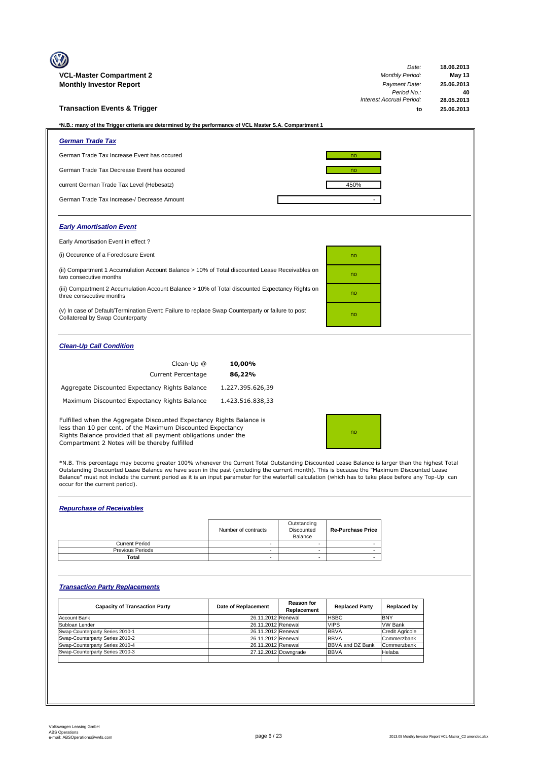| <b>VCL-Master Compartment 2</b>                                                                                                                                                                                                                        |                  | Date:<br><b>Monthly Period:</b> | 18.06.2013<br><b>May 13</b> |
|--------------------------------------------------------------------------------------------------------------------------------------------------------------------------------------------------------------------------------------------------------|------------------|---------------------------------|-----------------------------|
| <b>Monthly Investor Report</b>                                                                                                                                                                                                                         |                  | Payment Date:                   | 25.06.2013                  |
|                                                                                                                                                                                                                                                        |                  | Period No.:                     | 40                          |
|                                                                                                                                                                                                                                                        |                  | <b>Interest Accrual Period:</b> | 28.05.2013                  |
| <b>Transaction Events &amp; Trigger</b>                                                                                                                                                                                                                |                  | to                              | 25.06.2013                  |
| *N.B.: many of the Trigger criteria are determined by the performance of VCL Master S.A. Compartment 1                                                                                                                                                 |                  |                                 |                             |
| <b>German Trade Tax</b>                                                                                                                                                                                                                                |                  |                                 |                             |
| German Trade Tax Increase Event has occured                                                                                                                                                                                                            |                  | no                              |                             |
| German Trade Tax Decrease Event has occured                                                                                                                                                                                                            |                  | no                              |                             |
| current German Trade Tax Level (Hebesatz)                                                                                                                                                                                                              |                  | 450%                            |                             |
| German Trade Tax Increase-/ Decrease Amount                                                                                                                                                                                                            |                  |                                 |                             |
| <b>Early Amortisation Event</b>                                                                                                                                                                                                                        |                  |                                 |                             |
| Early Amortisation Event in effect?                                                                                                                                                                                                                    |                  |                                 |                             |
| (i) Occurence of a Foreclosure Event                                                                                                                                                                                                                   |                  | no                              |                             |
| (ii) Compartment 1 Accumulation Account Balance > 10% of Total discounted Lease Receivables on<br>two consecutive months                                                                                                                               |                  | no                              |                             |
| (iii) Compartment 2 Accumulation Account Balance > 10% of Total discounted Expectancy Rights on<br>three consecutive months                                                                                                                            |                  | no                              |                             |
| (v) In case of Default/Termination Event: Failure to replace Swap Counterparty or failure to post<br>Collatereal by Swap Counterparty                                                                                                                  |                  | no                              |                             |
| <b>Clean-Up Call Condition</b>                                                                                                                                                                                                                         |                  |                                 |                             |
| Clean-Up @                                                                                                                                                                                                                                             | 10,00%           |                                 |                             |
| <b>Current Percentage</b>                                                                                                                                                                                                                              | 86,22%           |                                 |                             |
| Aggregate Discounted Expectancy Rights Balance                                                                                                                                                                                                         | 1.227.395.626,39 |                                 |                             |
| Maximum Discounted Expectancy Rights Balance                                                                                                                                                                                                           | 1.423.516.838,33 |                                 |                             |
| Fulfilled when the Aggregate Discounted Expectancy Rights Balance is<br>less than 10 per cent. of the Maximum Discounted Expectancy<br>Rights Balance provided that all payment obligations under the<br>Compartment 2 Notes will be thereby fulfilled |                  | no                              |                             |

\*N.B. This percentage may become greater 100% whenever the Current Total Outstanding Discounted Lease Balance is larger than the highest Total<br>Outstanding Discounted Lease Balance we have seen in the past (excluding the cu Balance" must not include the current period as it is an input parameter for the waterfall calculation (which has to take place before any Top-Up can occur for the current period).

## *Repurchase of Receivables*

|                         | Number of contracts | Outstanding<br>Discounted<br>Balance | <b>Re-Purchase Price</b> |
|-------------------------|---------------------|--------------------------------------|--------------------------|
| <b>Current Period</b>   |                     |                                      |                          |
| <b>Previous Periods</b> |                     |                                      |                          |
| Total                   | -                   | $\overline{\phantom{0}}$             |                          |

## *Transaction Party Replacements*

| <b>Capacity of Transaction Party</b> | Date of Replacement | <b>Reason for</b><br>Replacement | <b>Replaced Party</b>   | Replaced by            |
|--------------------------------------|---------------------|----------------------------------|-------------------------|------------------------|
| <b>Account Bank</b>                  | 26.11.2012 Renewal  |                                  | <b>HSBC</b>             | <b>BNY</b>             |
| Subloan Lender                       | 26.11.2012 Renewal  |                                  | <b>VIPS</b>             | <b>VW Bank</b>         |
| Swap-Counterparty Series 2010-1      | 26.11.2012 Renewal  |                                  | <b>BBVA</b>             | <b>Credit Agricole</b> |
| Swap-Counterparty Series 2010-2      | 26.11.2012 Renewal  |                                  | <b>BBVA</b>             | Commerzbank            |
| Swap-Counterparty Series 2010-4      | 26.11.2012 Renewal  |                                  | <b>BBVA and DZ Bank</b> | Commerzbank            |
| Swap-Counterparty Series 2010-3      |                     | 27.12.2012 Downgrade             | <b>BBVA</b>             | Helaba                 |
|                                      |                     |                                  |                         |                        |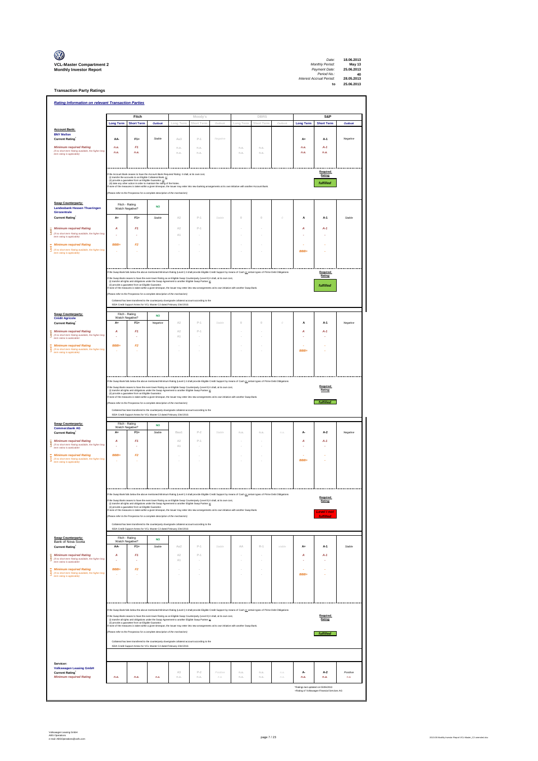| $\mathbb{C}$                                                      |
|-------------------------------------------------------------------|
| <b>VCL-Master Compartment</b> :<br><b>Monthly Investor Report</b> |

**Transaction Party Ratings**

| Fitch<br>Moody's                                                                                                                                                                                                                                                                                                                                                         | DBRS<br>S&P                                                                                     |
|--------------------------------------------------------------------------------------------------------------------------------------------------------------------------------------------------------------------------------------------------------------------------------------------------------------------------------------------------------------------------|-------------------------------------------------------------------------------------------------|
| <b>Long Term</b><br><b>Short Term</b><br>Outlook<br>Long Term<br>Short Term<br>Outlook<br><b>Account Bank:</b>                                                                                                                                                                                                                                                           | Long Term<br>Short Term<br>Outlook<br><b>Short Term</b><br>Outlook<br><b>Long Term</b>          |
| <b>BNY Mellon</b><br>$F1+$<br>$P-1$<br>Aa3<br><b>Current Rating</b><br>AA-<br>Stable<br>Negative                                                                                                                                                                                                                                                                         | $A+$<br>A-1<br>Negative                                                                         |
| F1<br><b>Minimum required Rating</b><br>n.a.<br>n.a<br>n.a.<br>(if no short term Rating available, the higher long                                                                                                                                                                                                                                                       | n.a<br>n.a<br>n.a.<br>$A-1$                                                                     |
| n.a.<br>n.a.<br>n.a.<br>n.a.<br>term rating is applicable)                                                                                                                                                                                                                                                                                                               | n.a.<br>n.a.<br>n.a.<br>n.a.                                                                    |
|                                                                                                                                                                                                                                                                                                                                                                          |                                                                                                 |
| the Account Bank ceases to have the Account Bank Required Rating it shall, at its own cost,<br>(i) transfer the accounts to an Eligible Collateral Bank, or                                                                                                                                                                                                              | Required<br>Rating:                                                                             |
| (i) provide a guarantee from an Eligible Guarantor, $\alpha$<br>(ii) provide a guarantee from an Eligible Guarantor, $\alpha$<br>(ii) take any other action in order to maintain the rating of the Notes.<br>none of the measures is taken within a given timespan, the Issuer may enter into new banking arrangements at its own initiative with another Account Bank   | fulfilled                                                                                       |
| lease refer to the Prospectus for a complete description of the mechanism)                                                                                                                                                                                                                                                                                               |                                                                                                 |
| Swap Counterparty:<br>Fitch - Rating<br><b>NO</b><br><b>Landesbank Hessen Thueringen</b><br>Watch Negative?                                                                                                                                                                                                                                                              |                                                                                                 |
| Girozentrale<br>$F1+$<br>$P-1$<br><b>Current Rating</b><br>A+<br>Stable<br>A2<br>Stable                                                                                                                                                                                                                                                                                  | $\mathbb O$<br>$\mathbb O$<br>$\theta$<br>А<br>A-1<br>Stable                                    |
| <b>Minimum required Rating</b><br>F1<br>A2<br>$P-1$<br>А                                                                                                                                                                                                                                                                                                                 | А<br>$A-1$                                                                                      |
| š<br>(if no short term Rating available, the higher long<br>$\mathbb{A}1$<br>term rating is applicable)                                                                                                                                                                                                                                                                  |                                                                                                 |
| <b>Minimum required Rating</b><br>BBB+<br>F2                                                                                                                                                                                                                                                                                                                             |                                                                                                 |
| š<br>(if no short term Rating available, the higher long<br>term rating is applicable)                                                                                                                                                                                                                                                                                   | BBB+                                                                                            |
|                                                                                                                                                                                                                                                                                                                                                                          |                                                                                                 |
| If the Swap Bank falls below the above mentioned Minimum Rating (Level I) it shall provide Eligible Credit Support by means of Cash or certain types of Prime Debt Obligations                                                                                                                                                                                           | Required<br>Rating:                                                                             |
| f the Swap Bank ceases to have the even lower Rating as an Eligible Swap Counterparty (Level II) it shall, at its own cost,<br>(i) transfer all rights and obligations under the Swap Agreement to another Eligible Swap Partner <u>or</u><br>(ii) provides a guarantee from an Eligible Quanantor.<br>none of the measures is taken within a given timespan, the Issuer | fulfilled                                                                                       |
| Please refer to the Prospectus for a complete description of the mechanism)                                                                                                                                                                                                                                                                                              |                                                                                                 |
| Collateral has been transfered to the counterparty downgrade collateral account according to the<br>ISDA Credit Support Annex for VCL Master C2 dated February 23rd 2010.                                                                                                                                                                                                |                                                                                                 |
| Fitch - Rating<br>Swap Counterparty:                                                                                                                                                                                                                                                                                                                                     |                                                                                                 |
| <b>NO</b><br>Watch Negative?<br><b>Crédit Agricole</b><br>$F1+$<br>Negative<br>$P-1$<br>Stable<br><b>Current Rating</b><br>A+<br>A2                                                                                                                                                                                                                                      | Negative<br>$\circ$<br>$\theta$<br>$\theta$<br>A<br>A-1                                         |
| F1<br>A <sub>2</sub><br>$P-1$<br><b>Minimum required Rating</b><br>А                                                                                                                                                                                                                                                                                                     | $A-1$<br>А                                                                                      |
| <b>Sevent</b><br>(if no short term Rating available, the higher long<br>term rating is applicable)<br>$\mathbb{A}1$                                                                                                                                                                                                                                                      |                                                                                                 |
| <b>Minimum required Rating</b><br><b>RRR+</b><br>F <sub>2</sub><br><b>Several</b><br>(if no short term Rating available, the higher long<br>term rating is applicable)                                                                                                                                                                                                   | BBB+                                                                                            |
|                                                                                                                                                                                                                                                                                                                                                                          |                                                                                                 |
|                                                                                                                                                                                                                                                                                                                                                                          |                                                                                                 |
| If the Swap Bank falls below the above mentioned Minimum Rating (Level I) it shall provide Eligible Credit Support by means of Cash or certain types of Prime Debt Obligations                                                                                                                                                                                           |                                                                                                 |
| If the Swap Bank ceases to have the even lower Rating as an Eligible Swap Counterparty (Level II) it shall, at its own cost,<br>(i) transfer all rights and obligations under the Swap Agreement to another Eligible Swap Partner                                                                                                                                        | Required<br>Rating:                                                                             |
| f none of the measures is taken within a given timespan, the Issuer may enter into new arrangements at its own initiative with another Swap Bank                                                                                                                                                                                                                         |                                                                                                 |
| lease refer to the Prospectus for a complete description of the mechanism)<br>Collateral has been transfered to the counterparty downgrade collateral account according to the                                                                                                                                                                                           | fulfilled                                                                                       |
| ISDA Credit Support Annex for VCL Master C2 dated February 23rd 2010.                                                                                                                                                                                                                                                                                                    |                                                                                                 |
|                                                                                                                                                                                                                                                                                                                                                                          |                                                                                                 |
| Fitch - Rating<br>Swap Counterparty:<br><b>NO</b><br>Watch Negative?<br><b>Commerzbank AG</b>                                                                                                                                                                                                                                                                            |                                                                                                 |
| <b>Current Rating</b><br>$A+$<br>$F1+$<br><b>Stable</b><br>Baa1<br>$p-2$<br>Stable                                                                                                                                                                                                                                                                                       | n.a<br>n.a<br>A-<br>$A-2$<br>Negative<br>na                                                     |
| <b>Minimum required Rating</b><br>F1<br>A2<br>p.s<br>A<br>Ī<br>$\mathbb{A}1$                                                                                                                                                                                                                                                                                             | A<br>$A-1$                                                                                      |
| (if no short term Rating available, the higher long<br>term rating is applicable)<br><b>Minimum required Rating</b><br>BBB+<br>F <sub>2</sub>                                                                                                                                                                                                                            |                                                                                                 |
| (if no short term Rating available, the higher long<br>term rating is applicable)                                                                                                                                                                                                                                                                                        | BBB+                                                                                            |
|                                                                                                                                                                                                                                                                                                                                                                          |                                                                                                 |
|                                                                                                                                                                                                                                                                                                                                                                          |                                                                                                 |
| If the Swap Bank falls below the above mentioned Minimum Rating (Level I) it shall provide Eligible Credit Support by means of Cash or certain types of Prime Debt Obligations                                                                                                                                                                                           |                                                                                                 |
| the Swap Bank ceases to have the even lower Rating as an Eligible Swap Counterparty (Level II) it shall, at its own cost, (i) translations under the Swap Agreement to another Eligible Swap Partner or (i)                                                                                                                                                              | Required<br>Rating:                                                                             |
| (ii) provide a guarantee from an Eligible Guarantor.<br>(ii) provide a guarantee from an Eligible Guarantor.<br>none of the measures is taken within a given timespan, the Issuer may enter into new arrangements at its own initiat<br>(Please refer to the Prospectus for a complete description of the mechanism)                                                     | <b>Level I not</b><br>fulfilled                                                                 |
| Collateral has been transfered to the counterparty downgrade collateral account according to the                                                                                                                                                                                                                                                                         |                                                                                                 |
| ISDA Credit Support Annex for VCL Master C2 dated February 23rd 2010.                                                                                                                                                                                                                                                                                                    |                                                                                                 |
| Swap Counterparty:<br>Fitch - Rating<br><b>NO</b><br>Watch Negative?<br>Bank of Nova Scotia                                                                                                                                                                                                                                                                              |                                                                                                 |
| AA-<br>$F1+$<br><b>Stable</b><br>Aa2<br>$P-1$<br>Stable<br>Current Rating<br>A <sub>2</sub><br>$P-1$                                                                                                                                                                                                                                                                     | $R-1$<br>stable<br>Stable<br>AA<br>A+<br>A-1                                                    |
| $\frac{1}{3}$ Minimum required Rating<br>$\frac{1}{3}$ ( <i>I</i> no short term Ration $\sim$<br>F1<br>А<br>(If no short term Rating available, the higher long<br>term rating is applicable)<br>$\mathbb{A}1$<br>ä,                                                                                                                                                     | А<br>$A-1$                                                                                      |
| BBB+<br>F2                                                                                                                                                                                                                                                                                                                                                               | ÷.<br>BBB+                                                                                      |
| Minimum required Rating<br>$\sum_{n=0}^{\infty}$ (if no short term Rating available, the higher long<br>term rating form $\frac{1}{2}$<br>term ration is annicable)                                                                                                                                                                                                      |                                                                                                 |
|                                                                                                                                                                                                                                                                                                                                                                          |                                                                                                 |
|                                                                                                                                                                                                                                                                                                                                                                          |                                                                                                 |
| f the Swap Bank falls below the above mentioned Minimum Rating (Level I) it shall provide Eligible Credit Support by means of Cash or certain types of Prime Debt Obligations                                                                                                                                                                                            |                                                                                                 |
| If the Swap Bank ceases to have the even lower Rating as an Eligible Swap Counterparty (Level II) it shall, at its own cost,                                                                                                                                                                                                                                             | Required<br>Rating:                                                                             |
| f none of the measures is taken within a given timespan, the Issuer may enter into new arrangements at its own initiative with another Swap Bank.                                                                                                                                                                                                                        |                                                                                                 |
| lease refer to the Prospectus for a complete description of the mechanism)                                                                                                                                                                                                                                                                                               | fulfilled                                                                                       |
| Collateral has been transfered to the counterparty downgrade collateral account according to the<br>ISDA Credit Support Annex for VCL Master C2 dated February 23rd 2010.                                                                                                                                                                                                |                                                                                                 |
|                                                                                                                                                                                                                                                                                                                                                                          |                                                                                                 |
| Servicer:<br><b>Volkswagen Leasing GmbH</b>                                                                                                                                                                                                                                                                                                                              |                                                                                                 |
| <b>Current Rating</b><br>A3<br>$p-2$<br>Positive<br><b>Minimum required Rating</b><br>n.a.<br>n.a.<br>n.a.<br>n.a.<br>$\varOmega,\vartheta.$<br>n.a.                                                                                                                                                                                                                     | n.a.<br>A-<br>$A-2$<br>Positive<br>n.a<br>12.81<br>n.a.<br>n.a.<br>n.a.<br>n.a.<br>n.a.<br>n.a. |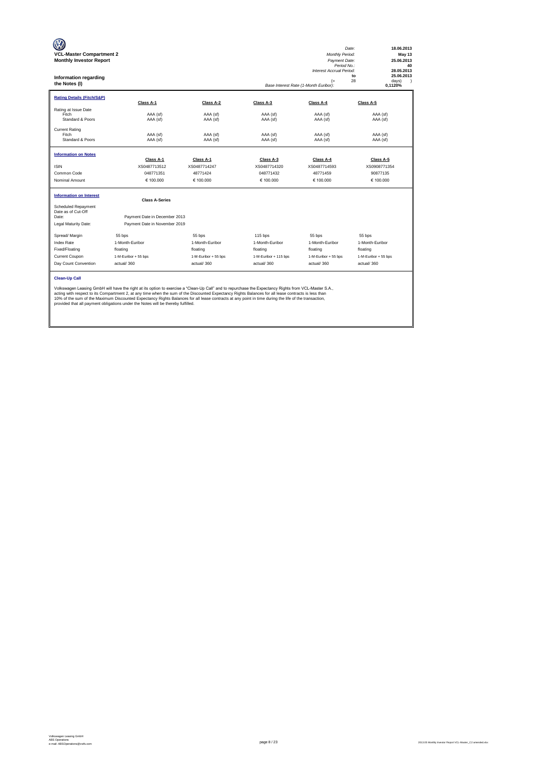| <b>VCL-Master Compartment 2</b><br><b>Monthly Investor Report</b><br>Information regarding<br>the Notes (I) |                                                                                                                                                                                                                                                                                                                                                                                                                                                                                                                                                           |                      |                       | <b>Monthly Period:</b><br>Payment Date:<br>Period No.:<br><b>Interest Accrual Period:</b><br>$(=$<br>Base Interest Rate (1-Month Euribor): | 18.06.2013<br>Date:<br>May 13<br>25.06.2013<br>40<br>28.05.2013<br>25.06.2013<br>to<br>28<br>davs)<br>$\lambda$<br>0,1120% |
|-------------------------------------------------------------------------------------------------------------|-----------------------------------------------------------------------------------------------------------------------------------------------------------------------------------------------------------------------------------------------------------------------------------------------------------------------------------------------------------------------------------------------------------------------------------------------------------------------------------------------------------------------------------------------------------|----------------------|-----------------------|--------------------------------------------------------------------------------------------------------------------------------------------|----------------------------------------------------------------------------------------------------------------------------|
| <b>Rating Details (Fitch/S&amp;P)</b>                                                                       | Class A-1                                                                                                                                                                                                                                                                                                                                                                                                                                                                                                                                                 | Class A-2            | Class A-3             | Class A-4                                                                                                                                  | Class A-5                                                                                                                  |
| Rating at Issue Date<br>Fitch<br>Standard & Poors                                                           | AAA (sf)<br>AAA (sf)                                                                                                                                                                                                                                                                                                                                                                                                                                                                                                                                      | AAA (sf)<br>AAA (sf) | AAA (sf)<br>AAA (sf)  | AAA (sf)<br>AAA (sf)                                                                                                                       | AAA (sf)<br>AAA (sf)                                                                                                       |
| <b>Current Rating</b><br>Fitch<br>Standard & Poors                                                          | AAA (sf)<br>AAA (sf)                                                                                                                                                                                                                                                                                                                                                                                                                                                                                                                                      | AAA (sf)<br>AAA (sf) | AAA (sf)<br>AAA (sf)  | AAA (sf)<br>AAA (sf)                                                                                                                       | AAA (sf)<br>AAA (sf)                                                                                                       |
| <b>Information on Notes</b>                                                                                 | Class A-1                                                                                                                                                                                                                                                                                                                                                                                                                                                                                                                                                 | Class A-1            | Class A-3             | Class A-4                                                                                                                                  | Class A-5                                                                                                                  |
| <b>ISIN</b>                                                                                                 | XS0487713512                                                                                                                                                                                                                                                                                                                                                                                                                                                                                                                                              | XS0487714247         | XS0487714320          | XS0487714593                                                                                                                               | XS0908771354                                                                                                               |
| Common Code                                                                                                 | 048771351                                                                                                                                                                                                                                                                                                                                                                                                                                                                                                                                                 | 48771424             | 048771432             | 48771459                                                                                                                                   | 90877135                                                                                                                   |
| Nominal Amount                                                                                              | € 100.000                                                                                                                                                                                                                                                                                                                                                                                                                                                                                                                                                 | € 100,000            | € 100.000             | € 100,000                                                                                                                                  | € 100.000                                                                                                                  |
| <b>Information on Interest</b>                                                                              | <b>Class A-Series</b>                                                                                                                                                                                                                                                                                                                                                                                                                                                                                                                                     |                      |                       |                                                                                                                                            |                                                                                                                            |
| Scheduled Repayment<br>Date as of Cut-Off<br>Date:<br>Legal Maturity Date:                                  | Payment Date in December 2013<br>Payment Date in November 2019                                                                                                                                                                                                                                                                                                                                                                                                                                                                                            |                      |                       |                                                                                                                                            |                                                                                                                            |
| Spread/ Margin                                                                                              | 55 bps                                                                                                                                                                                                                                                                                                                                                                                                                                                                                                                                                    | 55 bps               | 115 bps               | 55 bps                                                                                                                                     | 55 bps                                                                                                                     |
| <b>Index Rate</b>                                                                                           | 1-Month-Euribor                                                                                                                                                                                                                                                                                                                                                                                                                                                                                                                                           | 1-Month-Euribor      | 1-Month-Euribor       | 1-Month-Euribor                                                                                                                            | 1-Month-Euribor                                                                                                            |
| Fixed/Floating                                                                                              | floating                                                                                                                                                                                                                                                                                                                                                                                                                                                                                                                                                  | floating             | floating              | floating                                                                                                                                   | floating                                                                                                                   |
| Current Coupon                                                                                              | 1-M-Euribor + 55 bps                                                                                                                                                                                                                                                                                                                                                                                                                                                                                                                                      | 1-M-Euribor + 55 bps | 1-M-Euribor + 115 bps | 1-M-Euribor + 55 bps                                                                                                                       | 1-M-Euribor + 55 bps                                                                                                       |
| Day Count Convention                                                                                        | actual/360                                                                                                                                                                                                                                                                                                                                                                                                                                                                                                                                                | actual/360           | actual/360            | actual/360                                                                                                                                 | actual/360                                                                                                                 |
| <b>Clean-Up Call</b>                                                                                        | Volkswagen Leasing GmbH will have the right at its option to exercise a "Clean-Up Call" and to repurchase the Expectancy Rights from VCL-Master S.A.,<br>acting with respect to its Compartment 2, at any time when the sum of the Discounted Expectancy Rights Balances for all lease contracts is less than<br>10% of the sum of the Maximum Discounted Expectancy Rights Balances for all lease contracts at any point in time during the life of the transaction,<br>provided that all payment obligations under the Notes will be thereby fulfilled. |                      |                       |                                                                                                                                            |                                                                                                                            |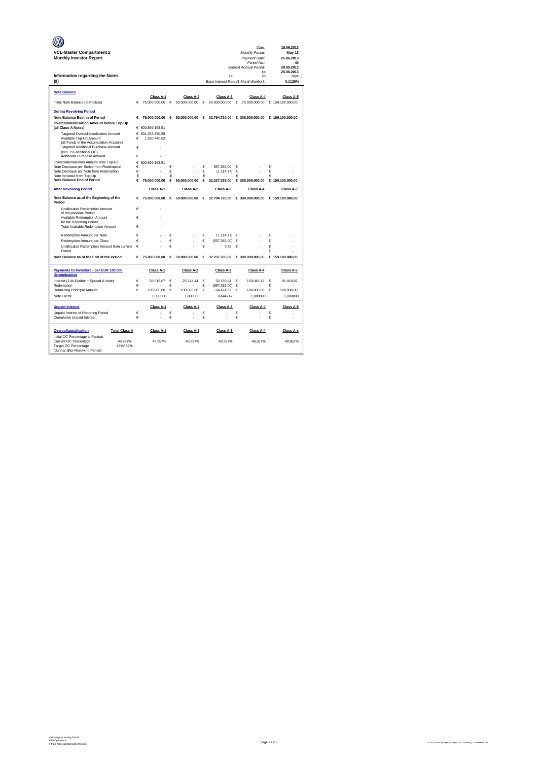|                                                                                       |        |                    |            |                 |            |                                            |   | Date:                                           |   | 18.06.2013        |
|---------------------------------------------------------------------------------------|--------|--------------------|------------|-----------------|------------|--------------------------------------------|---|-------------------------------------------------|---|-------------------|
| <b>VCL-Master Compartment 2</b>                                                       |        |                    |            |                 |            |                                            |   | Monthly Period:                                 |   | May 13            |
| <b>Monthly Investor Report</b>                                                        |        |                    |            |                 |            |                                            |   | Payment Date:<br>Period No.:                    |   | 25.06.2013<br>40  |
|                                                                                       |        |                    |            |                 |            |                                            |   | Interest Accrual Period:                        |   | 28.05.2013        |
|                                                                                       |        |                    |            |                 |            |                                            |   | to<br>28                                        |   | 25.06.2013        |
| Information regarding the Notes<br>(II)                                               |        |                    |            |                 |            | (<br>Base Interest Rate (1-Month Euribor): |   |                                                 |   | days )<br>0.1120% |
|                                                                                       |        |                    |            |                 |            |                                            |   |                                                 |   |                   |
| <b>Note Balance</b>                                                                   |        | Class A-1          |            | Class A-2       |            | Class A-3                                  |   | Class A-4                                       |   | Class A-5         |
| Initial Note Balance (at Poolcut)                                                     | €      | 75.000.000,00      | $\epsilon$ | 50.000.000,00   | $\epsilon$ | 50.000.000,00                              | € | 75.000.000,00                                   |   | € 159.100.000,00  |
| <b>During Revolving Period</b>                                                        |        |                    |            |                 |            |                                            |   |                                                 |   |                   |
| Note Balance Beginn of Period                                                         | €      | 75,000,000.00 €    |            | 50,000,000,00 € |            |                                            |   | 32.794.720.00 € 308.900.000.00 € 159.100.000.00 |   |                   |
| Overcollateralisation Amount before Top-Up<br>(all Class A Notes)                     |        | € 600.899.163,51   |            |                 |            |                                            |   |                                                 |   |                   |
| Targeted Overcollateralisation Amount                                                 |        | € 601.253.750.59   |            |                 |            |                                            |   |                                                 |   |                   |
| Available Top-Up Amount                                                               | €      | 1.260.440,62       |            |                 |            |                                            |   |                                                 |   |                   |
| (all Funds in the Accumulation Account)<br>Targeted Additional Purchase Amount        | €      |                    |            |                 |            |                                            |   |                                                 |   |                   |
| (incl. 7% additional OC)                                                              |        |                    |            |                 |            |                                            |   |                                                 |   |                   |
| Additional Purchase Amount                                                            | €      |                    |            |                 |            |                                            |   |                                                 |   |                   |
| Overcollateralisation Amount after Top-Up<br>Note Decrease per Series from Redemption | €<br>€ | 600.899.163.51     | €          |                 | $\epsilon$ | 557.385,00                                 | € |                                                 | € |                   |
| Note Decrease per Note from Redemption                                                | €      | ä,                 | €          |                 | $\in$      | (1.114, 77)                                | € |                                                 | € |                   |
| Note Increase from Tap-Up                                                             | €      |                    | €          |                 | €          |                                            | € |                                                 | € |                   |
| <b>Note Balance End of Period</b>                                                     | €      | 75.000.000.00      | €          | 50,000,000.00   | €          | 32.237.335.00                              |   | € 308.900.000.00                                |   | € 159,100,000,00  |
| <b>After Revolving Period</b>                                                         |        | Class A-1          |            | Class A-2       |            | Class A-3                                  |   | Class A-4                                       |   | Class A-5         |
| Note Balance as of the Beginning of the<br>Period                                     |        | 75.000.000.00<br>€ | €          | 50,000,000,00   |            | € 32.794.720,00                            |   | € 308.900.000,00                                |   | € 159.100.000.00  |
| Unallocated Redemption Amount                                                         | €      | ×.                 |            |                 |            |                                            |   |                                                 |   |                   |
| of the previous Period                                                                | €      |                    |            |                 |            |                                            |   |                                                 |   |                   |
| Available Redemption Amount<br>for the Reporting Period                               |        |                    |            |                 |            |                                            |   |                                                 |   |                   |
| Total Available Redemption Amount                                                     | €      |                    |            |                 |            |                                            |   |                                                 |   |                   |
| Redemption Amount per Note                                                            | €      |                    | €          |                 | €          | $(1.114.77)$ $\in$                         |   |                                                 | € |                   |
| Redemption Amount per Class                                                           | €      | ł.                 | €          |                 | €          | (557, 385, 00)                             | € |                                                 | € |                   |
| Unallocated Redemption Amount from current                                            | €      |                    | €          |                 | €          | 0.89                                       | € |                                                 | € |                   |
| Period                                                                                |        |                    |            |                 |            |                                            |   |                                                 | € |                   |
| Note Balance as of the End of the Period                                              | €      | 75,000,000,00      | $\epsilon$ | 50,000,000,00   | €          |                                            |   | 32.237.335.00 € 308.900.000.00                  |   | € 159,100,000,00  |
| Payments to Investors - per EUR 100.000<br>denomination                               |        | Class A-1          |            | Class A-2       |            | Class A-3                                  |   | Class A-4                                       |   | Class A-5         |
| Interest (1-M-Euribor + Spread A Note)                                                | €      | 38.616.67          | €          | 25.744,44       | €          | 32.189.84                                  | € | 159.049.18                                      | € | 81.918,82         |
| Redemption                                                                            | €      |                    | €          |                 | €          | (557.385,00)                               | € |                                                 | € |                   |
| Remaining Principal Amount                                                            | €      | 100.000,00         | €          | 100.000,00      | €          | 64.474,67                                  | € | 100.000,00                                      | € | 100.000,00        |
| Note Factor                                                                           |        | 1,000000           |            | 1,000000        |            | 0,644747                                   |   | 1,000000                                        |   | 1,000000          |
| <b>Unpaid Interest</b>                                                                |        | Class A-1          |            | Class A-2       |            | Class A-3                                  |   | Class A-4                                       |   | Class A-5         |
| Unpaid Interest of Reporting Period                                                   | €      |                    | €          |                 | €          |                                            | € |                                                 | € |                   |
| Cumulative Unpaid Interest                                                            | €      |                    | €          |                 | €          |                                            | € |                                                 | € |                   |
| Overcollateralisation<br><b>Total Class A</b>                                         |        | Class A-1          |            | Class A-2       |            | Class A-3                                  |   | Class A-4                                       |   | Class A-x         |
| Initial OC Percentage at Poolcut                                                      |        |                    |            |                 |            |                                            |   |                                                 |   |                   |
| Current OC Percentage<br>48,957%<br>Target OC Percentage<br>49%/52%                   |        | 48,957%            |            | 48,957%         |            | 48,957%                                    |   | 48,957%                                         |   | 48,957%           |
| (during/ after Revolving Period)                                                      |        |                    |            |                 |            |                                            |   |                                                 |   |                   |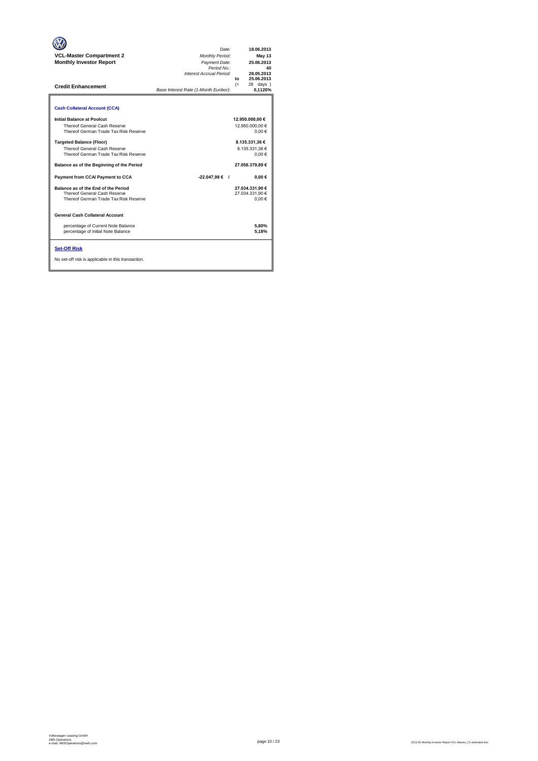| <b>VCL-Master Compartment 2</b><br><b>Monthly Investor Report</b><br><b>Credit Enhancement</b>                                                                                                                                                                                                                                                                                                                                                                                                                                                                                 | Date:<br><b>Monthly Period:</b><br>Payment Date:<br>Period No.:<br>Interest Accrual Period:<br>Base Interest Rate (1-Month Euribor): | 18.06.2013<br><b>May 13</b><br>25.06.2013<br>40<br>28.05.2013<br>25.06.2013<br>$f_{\Omega}$<br>28 days )<br>$(=$<br>0.1120%                                                           |
|--------------------------------------------------------------------------------------------------------------------------------------------------------------------------------------------------------------------------------------------------------------------------------------------------------------------------------------------------------------------------------------------------------------------------------------------------------------------------------------------------------------------------------------------------------------------------------|--------------------------------------------------------------------------------------------------------------------------------------|---------------------------------------------------------------------------------------------------------------------------------------------------------------------------------------|
| <b>Cash Collateral Account (CCA)</b><br>Initial Balance at Poolcut<br>Thereof General Cash Reserve<br>Thereof German Trade Tax Risk Reserve<br><b>Targeted Balance (Floor)</b><br>Thereof General Cash Reserve<br>Thereof German Trade Tax Risk Reserve<br>Balance as of the Beginning of the Period<br>Payment from CCA/ Payment to CCA<br>Balance as of the End of the Period<br>Thereof General Cash Reserve<br>Thereof German Trade Tax Risk Reserve<br><b>General Cash Collateral Account</b><br>percentage of Current Note Balance<br>percentage of Initial Note Balance | $-22.047.98 \in$ /                                                                                                                   | 12.950.000,00 €<br>12.950.000.00 €<br>0.00€<br>8.135.331.36 €<br>8.135.331.36 €<br>0.00€<br>27.056.379.89 €<br>0.00€<br>27.034.331.90 €<br>27.034.331.90 €<br>0.00€<br>5.80%<br>5.18% |
| <b>Set-Off Risk</b><br>No set-off risk is applicable in this transaction.                                                                                                                                                                                                                                                                                                                                                                                                                                                                                                      |                                                                                                                                      |                                                                                                                                                                                       |

**. . . .** Trigger Level 1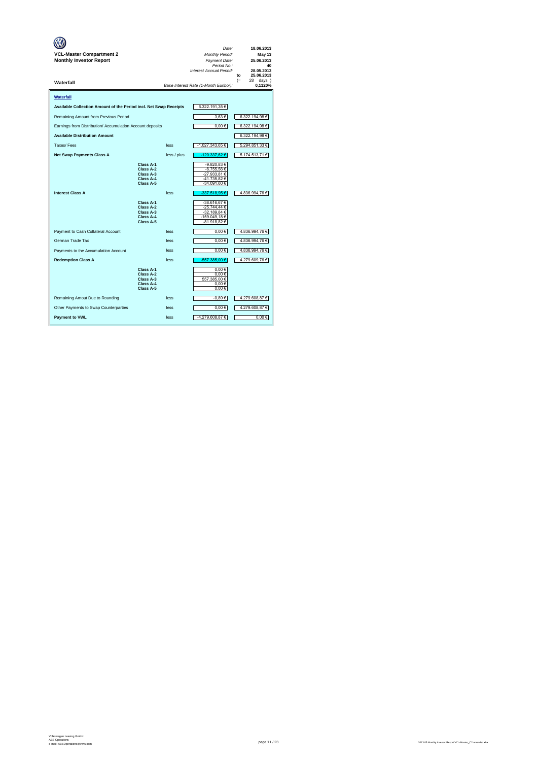| <b>VCL-Master Compartment 2</b><br><b>Monthly Investor Report</b> |                                                               |             | Date:<br>Monthly Period:<br>Payment Date:<br>Period No.:<br>Interest Accrual Period: | 18.06.2013<br>May 13<br>25.06.2013<br>40<br>28.05.2013<br>25.06.2013<br>to |
|-------------------------------------------------------------------|---------------------------------------------------------------|-------------|--------------------------------------------------------------------------------------|----------------------------------------------------------------------------|
| Waterfall                                                         |                                                               |             | Base Interest Rate (1-Month Euribor):                                                | $(=$<br>28<br>days)<br>0,1120%                                             |
| Waterfall                                                         |                                                               |             |                                                                                      |                                                                            |
| Available Collection Amount of the Period incl. Net Swap Receipts |                                                               |             | 6.322.191,35 €                                                                       |                                                                            |
| Remaining Amount from Previous Period                             |                                                               |             | 3,63€                                                                                | 6.322.194,98 €                                                             |
| Earnings from Distribution/ Accumulation Account deposits         |                                                               |             | $0,00 \in$                                                                           | 6.322.194,98 €                                                             |
| <b>Available Distribution Amount</b>                              |                                                               |             |                                                                                      | 6.322.194,98 €                                                             |
| Taxes/Fees                                                        |                                                               | less        | -1.027.343,65 €                                                                      | 5.294.851,33 €                                                             |
| <b>Net Swap Payments Class A</b>                                  |                                                               | less / plus | -120.337,62 €                                                                        | 5.174.513,71 €                                                             |
|                                                                   | Class A-1<br>Class A-2<br>Class A-3<br>Class A-4<br>Class A-5 |             | -9.820,83 €<br>-6.755,56 €<br>-27.933,81 €<br>-41.735,82 €<br>-34.091,60 €           |                                                                            |
| <b>Interest Class A</b>                                           |                                                               | less        | -337.518,95 €                                                                        | 4.836.994,76 €                                                             |
|                                                                   | Class A-1<br>Class A-2<br>Class A-3<br>Class A-4<br>Class A-5 |             | -38.616.67 €<br>-25.744,44 €<br>-32.189,84 €<br>-159.049.18€<br>-81.918,82 €         |                                                                            |
| Payment to Cash Collateral Account                                |                                                               | less        | $0,00 \in$                                                                           | 4.836.994,76 €                                                             |
| German Trade Tax                                                  |                                                               | less        | $0,00 \in$                                                                           | 4.836.994,76 €                                                             |
| Payments to the Accumulation Account                              |                                                               | less        | $0,00 \in$                                                                           | 4.836.994,76 €                                                             |
| <b>Redemption Class A</b>                                         |                                                               | less        | -557.385.00 €                                                                        | 4.279.609,76 €                                                             |
|                                                                   | Class A-1<br>Class A-2<br>Class A-3<br>Class A-4<br>Class A-5 |             | $0,00 \in$<br>0.00€<br>557.385,00 €<br>0,00€<br>0.00€                                |                                                                            |
| Remaining Amout Due to Rounding                                   |                                                               | less        | $-0,89€$                                                                             | 4.279.608,87€                                                              |
| Other Payments to Swap Counterparties                             |                                                               | less        | $0,00 \in$                                                                           | 4.279.608,87 €                                                             |
| <b>Payment to VWL</b>                                             |                                                               | less        | -4.279.608,87 €                                                                      | 0,00€                                                                      |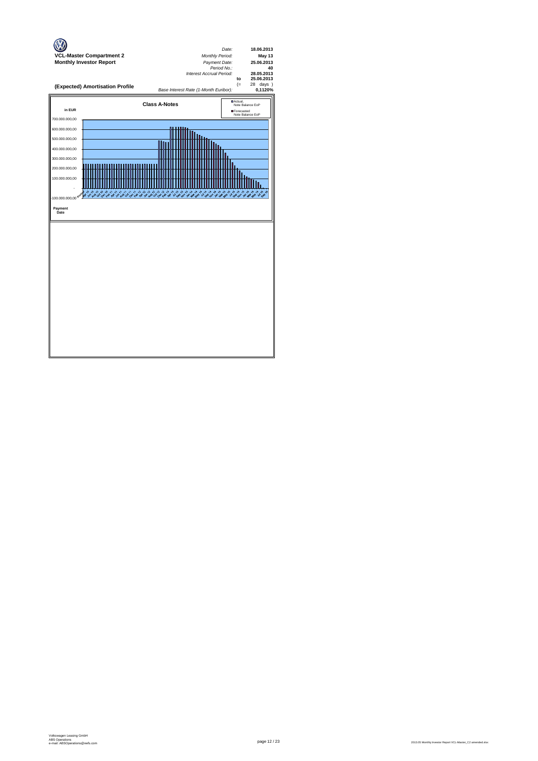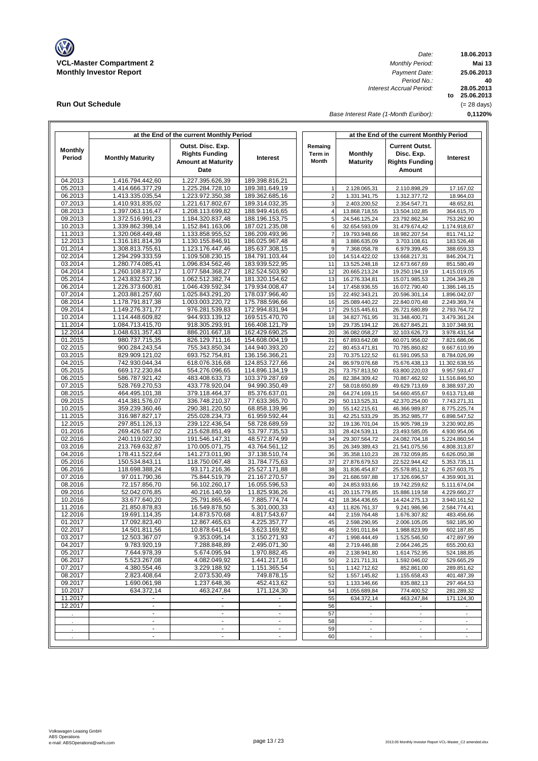

**Run Out Schedule**

*Date: Period No.: Interest Accrual Period:*

**18.06.2013 Mai 13 to 25.06.2013 28.05.2013 0,1120% 40 25.06.2013** (= 28 days)

*Base Interest Rate (1-Month Euribor):*

|                          |                                      | at the End of the current Monthly Period                                        |                                  |                             |                                | at the End of the current Monthly Period                               |                              |
|--------------------------|--------------------------------------|---------------------------------------------------------------------------------|----------------------------------|-----------------------------|--------------------------------|------------------------------------------------------------------------|------------------------------|
| <b>Monthly</b><br>Period | <b>Monthly Maturity</b>              | Outst. Disc. Exp.<br><b>Rights Funding</b><br><b>Amount at Maturity</b><br>Date | Interest                         | Remaing<br>Term in<br>Month | Monthly<br><b>Maturity</b>     | <b>Current Outst.</b><br>Disc. Exp.<br><b>Rights Funding</b><br>Amount | Interest                     |
| 04.2013                  | 1.416.794.442,60                     | 1.227.395.626,39                                                                | 189.398.816,21                   |                             |                                |                                                                        |                              |
| 05.2013                  | 1.414.666.377,29                     | 1.225.284.728,10                                                                | 189.381.649,19                   | $\mathbf{1}$                | 2.128.065,31                   | 2.110.898,29                                                           | 17.167,02                    |
| 06.2013                  | 1.413.335.035,54                     | 1.223.972.350,38                                                                | 189.362.685,16                   | $\mathbf 2$                 | 1.331.341,75                   | 1.312.377,72                                                           | 18.964,03                    |
| 07.2013                  | 1.410.931.835,02                     | 1.221.617.802,67                                                                | 189.314.032,35                   | 3                           | 2.403.200,52                   | 2.354.547,71                                                           | 48.652,81                    |
| 08.2013                  | 1.397.063.116,47                     | 1.208.113.699,82                                                                | 188.949.416,65                   | $\sqrt{4}$                  | 13.868.718,55                  | 13.504.102,85                                                          | 364.615,70                   |
| 09.2013<br>10.2013       | 1.372.516.991,23                     | 1.184.320.837,48                                                                | 188.196.153,75                   | 5                           | 24.546.125,24                  | 23.792.862,34                                                          | 753.262,90                   |
| 11.2013                  | 1.339.862.398,14<br>1.320.068.449,48 | 1.152.841.163,06<br>1.133.858.955,52                                            | 187.021.235,08<br>186.209.493,96 | 6<br>$\overline{7}$         | 32.654.593,09<br>19.793.948,66 | 31.479.674,42<br>18.982.207,54                                         | 1.174.918,67<br>811.741,12   |
| 12.2013                  | 1.316.181.814,39                     | 1.130.155.846,91                                                                | 186.025.967,48                   | 8                           | 3.886.635,09                   | 3.703.108,61                                                           | 183.526,48                   |
| 01.2014                  | 1.308.813.755,61                     | 1.123.176.447,46                                                                | 185.637.308,15                   | 9                           | 7.368.058,78                   | 6.979.399,45                                                           | 388.659,33                   |
| 02.2014                  | 1.294.299.333,59                     | 1.109.508.230,15                                                                | 184.791.103,44                   | 10                          | 14.514.422,02                  | 13.668.217,31                                                          | 846.204,71                   |
| 03.2014                  | 1.280.774.085,41                     | 1.096.834.562,46                                                                | 183.939.522,95                   | 11                          | 13.525.248,18                  | 12.673.667,69                                                          | 851.580,49                   |
| 04.2014                  | 1.260.108.872,17                     | 1.077.584.368,27                                                                | 182.524.503,90                   | 12                          | 20.665.213,24                  | 19.250.194,19                                                          | 1.415.019,05                 |
| 05.2014                  | 1.243.832.537,36                     | 1.062.512.382,74                                                                | 181.320.154,62                   | 13                          | 16.276.334,81                  | 15.071.985,53                                                          | 1.204.349,28                 |
| 06.2014                  | 1.226.373.600,81                     | 1.046.439.592,34                                                                | 179.934.008,47                   | 14                          | 17.458.936,55                  | 16.072.790,40                                                          | 1.386.146,15                 |
| 07.2014                  | 1.203.881.257,60                     | 1.025.843.291,20                                                                | 178.037.966,40                   | 15                          | 22.492.343,21                  | 20.596.301,14                                                          | 1.896.042,07                 |
| 08.2014                  | 1.178.791.817,38                     | 1.003.003.220,72                                                                | 175.788.596,66                   | 16                          | 25.089.440,22                  | 22.840.070.48                                                          | 2.249.369,74                 |
| 09.2014                  | 1.149.276.371.77                     | 976.281.539.83                                                                  | 172.994.831,94                   | 17                          | 29.515.445,61                  | 26.721.680,89                                                          | 2.793.764,72                 |
| 10.2014                  | 1.114.448.609,82                     | 944.933.139,12                                                                  | 169.515.470,70                   | 18                          | 34.827.761,95                  | 31.348.400,71                                                          | 3.479.361,24                 |
| 11.2014<br>12.2014       | 1.084.713.415,70<br>1.048.631.357,43 | 918.305.293,91<br>886.201.667,18                                                | 166.408.121,79<br>162.429.690,25 | 19<br>20                    | 29.735.194,12<br>36.082.058,27 | 26.627.845,21<br>32.103.626,73                                         | 3.107.348,91<br>3.978.431,54 |
| 01.2015                  | 980.737.715,35                       | 826.129.711.16                                                                  | 154.608.004.19                   | 21                          | 67.893.642,08                  | 60.071.956,02                                                          | 7.821.686,06                 |
| 02.2015                  | 900.284.243,54                       | 755.343.850,34                                                                  | 144.940.393,20                   | 22                          | 80.453.471,81                  | 70.785.860,82                                                          | 9.667.610,99                 |
| 03.2015                  | 829.909.121,02                       | 693.752.754,81                                                                  | 136.156.366,21                   | 23                          | 70.375.122,52                  | 61.591.095,53                                                          | 8.784.026,99                 |
| 04.2015                  | 742.930.044,34                       | 618.076.316,68                                                                  | 124.853.727,66                   | 24                          | 86.979.076,68                  | 75.676.438,13                                                          | 11.302.638,55                |
| 05.2015                  | 669.172.230,84                       | 554.276.096,65                                                                  | 114.896.134,19                   | 25                          | 73.757.813,50                  | 63.800.220,03                                                          | 9.957.593,47                 |
| 06.2015                  | 586.787.921,42                       | 483.408.633,73                                                                  | 103.379.287,69                   | 26                          | 82.384.309,42                  | 70.867.462,92                                                          | 11.516.846,50                |
| 07.2015                  | 528.769.270,53                       | 433.778.920.04                                                                  | 94.990.350,49                    | 27                          | 58.018.650,89                  | 49.629.713,69                                                          | 8.388.937,20                 |
| 08.2015                  | 464.495.101,38                       | 379.118.464,37                                                                  | 85.376.637,01                    | 28                          | 64.274.169,15                  | 54.660.455,67                                                          | 9.613.713,48                 |
| 09.2015                  | 414.381.576,07                       | 336.748.210,37                                                                  | 77.633.365,70                    | 29                          | 50.113.525,31                  | 42.370.254,00                                                          | 7.743.271,31                 |
| 10.2015                  | 359.239.360,46                       | 290.381.220,50                                                                  | 68.858.139,96                    | 30                          | 55.142.215,61                  | 46.366.989,87                                                          | 8.775.225,74                 |
| 11.2015                  | 316.987.827,17                       | 255.028.234,73                                                                  | 61.959.592,44                    | 31                          | 42.251.533,29                  | 35.352.985,77                                                          | 6.898.547,52                 |
| 12.2015                  | 297.851.126,13                       | 239.122.436,54                                                                  | 58.728.689,59                    | 32                          | 19.136.701,04                  | 15.905.798,19                                                          | 3.230.902,85                 |
| 01.2016<br>02.2016       | 269.426.587,02<br>240.119.022,30     | 215.628.851,49<br>191.546.147,31                                                | 53.797.735,53<br>48.572.874,99   | 33<br>34                    | 28.424.539,11                  | 23.493.585,05                                                          | 4.930.954,06                 |
| 03.2016                  | 213.769.632,87                       | 170.005.071,75                                                                  | 43.764.561,12                    | 35                          | 29.307.564,72<br>26.349.389,43 | 24.082.704,18<br>21.541.075,56                                         | 5.224.860,54<br>4.808.313,87 |
| 04.2016                  | 178.411.522,64                       | 141.273.011,90                                                                  | 37.138.510,74                    | 36                          | 35.358.110,23                  | 28.732.059,85                                                          | 6.626.050,38                 |
| 05.2016                  | 150.534.843,11                       | 118.750.067,48                                                                  | 31.784.775,63                    | 37                          | 27.876.679,53                  | 22.522.944,42                                                          | 5.353.735,11                 |
| 06.2016                  | 118.698.388,24                       | 93.171.216,36                                                                   | 25.527.171,88                    | 38                          | 31.836.454,87                  | 25.578.851,12                                                          | 6.257.603,75                 |
| 07.2016                  | 97.011.790,36                        | 75.844.519,79                                                                   | 21.167.270,57                    | 39                          | 21.686.597,88                  | 17.326.696,57                                                          | 4.359.901,31                 |
| 08.2016                  | 72.157.856,70                        | 56.102.260,17                                                                   | 16.055.596,53                    | 40                          | 24.853.933,66                  | 19.742.259,62                                                          | 5.111.674,04                 |
| 09.2016                  | 52.042.076,85                        | 40.216.140,59                                                                   | 11.825.936,26                    | 41                          | 20.115.779,85                  | 15.886.119,58                                                          | 4.229.660.27                 |
| 10.2016                  | 33.677.640,20                        | 25.791.865,46                                                                   | 7.885.774,74                     | 42                          | 18.364.436,65                  | 14.424.275,13                                                          | 3.940.161,52                 |
| 11.2016                  | 21.850.878,83                        | 16.549.878,50                                                                   | 5.301.000,33                     | 43                          | 11.826.761,37                  | 9.241.986,96                                                           | 2.584.774,41                 |
| 12.2016                  | 19.691.114,35                        | 14.873.570,68                                                                   | 4.817.543,67                     | 44                          | 2.159.764,48                   | 1.676.307,82                                                           | 483.456,66                   |
| 01.2017                  | 17.092.823,40                        | 12.867.465,63                                                                   | 4.225.357,77                     | 45                          | 2.598.290,95                   | 2.006.105,05                                                           | 592.185,90                   |
| 02.2017<br>03.2017       | 14.501.811,56<br>12.503.367,07       | 10.878.641,64<br>9.353.095,14                                                   | 3.623.169,92<br>3.150.271,93     | 46<br>47                    | 2.591.011,84<br>1.998.444,49   | 1.988.823,99<br>1.525.546,50                                           | 602.187,85<br>472.897,99     |
| 04.2017                  | 9.783.920,19                         | 7.288.848,89                                                                    | 2.495.071,30                     | 48                          | 2.719.446,88                   | 2.064.246,25                                                           | 655.200,63                   |
| 05.2017                  | 7.644.978,39                         | 5.674.095,94                                                                    | 1.970.882,45                     | 49                          | 2.138.941,80                   | 1.614.752,95                                                           | 524.188,85                   |
| 06.2017                  | 5.523.267,08                         | 4.082.049,92                                                                    | 1.441.217,16                     | 50                          | 2.121.711,31                   | 1.592.046,02                                                           | 529.665,29                   |
| 07.2017                  | 4.380.554,46                         | 3.229.188,92                                                                    | 1.151.365,54                     | 51                          | 1.142.712,62                   | 852.861,00                                                             | 289.851.62                   |
| 08.2017                  | 2.823.408,64                         | 2.073.530,49                                                                    | 749.878,15                       | 52                          | 1.557.145,82                   | 1.155.658,43                                                           | 401.487,39                   |
| 09.2017                  | 1.690.061,98                         | 1.237.648,36                                                                    | 452.413,62                       | 53                          | 1.133.346,66                   | 835.882,13                                                             | 297.464,53                   |
| 10.2017                  | 634.372,14                           | 463.247,84                                                                      | 171.124,30                       | 54                          | 1.055.689,84                   | 774.400,52                                                             | 281.289,32                   |
| 11.2017                  |                                      |                                                                                 |                                  | 55                          | 634.372,14                     | 463.247,84                                                             | 171.124,30                   |
| 12.2017                  | $\blacksquare$                       | $\blacksquare$                                                                  | $\overline{\phantom{a}}$         | 56                          | $\blacksquare$                 | $\overline{\phantom{a}}$                                               | $\overline{\phantom{a}}$     |
|                          | $\mathcal{L}_{\mathcal{A}}$          | $\mathcal{L}_{\mathcal{A}}$                                                     |                                  | 57                          | $\overline{\phantom{a}}$       |                                                                        |                              |
|                          | $\omega$                             | $\sim$                                                                          | $\tilde{\phantom{a}}$            | 58                          | $\overline{\phantom{a}}$       | $\overline{\phantom{a}}$                                               |                              |
|                          | $\blacksquare$<br>$\sim$             | $\blacksquare$<br>$\sim$                                                        | $\blacksquare$                   | 59                          | $\overline{\phantom{a}}$       | $\overline{\phantom{a}}$                                               | $\overline{\phantom{a}}$     |
|                          |                                      |                                                                                 | $\blacksquare$                   | 60                          | $\overline{\phantom{a}}$       | $\overline{\phantom{a}}$                                               | $\overline{\phantom{a}}$     |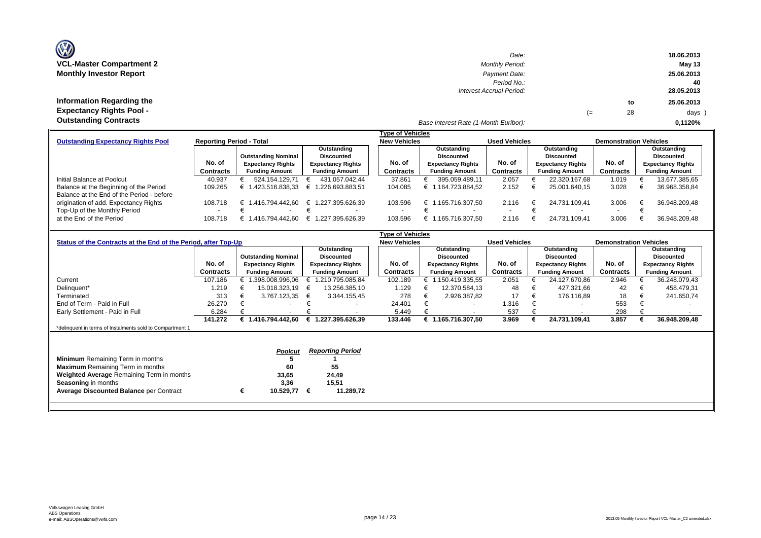| <b>OZ</b>                       |
|---------------------------------|
| <b>VCL-Master Compartment 2</b> |
| <b>Monthly Investor Report</b>  |

**Information Regarding the Expectancy Rights Pool -** 

| $\mathbf{w}$                     | Date:                    |    |    | 18.06.2013 |
|----------------------------------|--------------------------|----|----|------------|
| <b>VCL-Master Compartment 2</b>  | <b>Monthly Period:</b>   |    |    | May 13     |
| <b>Monthly Investor Report</b>   | Payment Date:            |    |    | 25.06.2013 |
|                                  | Period No.:              |    |    | 40         |
|                                  | Interest Accrual Period: |    |    | 28.05.2013 |
| <b>Information Regarding the</b> |                          |    | to | 25.06.2013 |
| <b>Expectancy Rights Pool -</b>  |                          | (≔ | 28 | days )     |
| Outotonding Contracto            |                          |    |    |            |

## *Base Interest Rate (1-Month Euribor):* **Outstanding Contracts 0,1120%**

|                                           |                                 |                            |                          | Tvpe of Vehicles    |                          |                      |                          |                               |                          |
|-------------------------------------------|---------------------------------|----------------------------|--------------------------|---------------------|--------------------------|----------------------|--------------------------|-------------------------------|--------------------------|
| <b>Outstanding Expectancy Rights Pool</b> | <b>Reporting Period - Total</b> |                            |                          | <b>New Vehicles</b> |                          | <b>Used Vehicles</b> |                          | <b>Demonstration Vehicles</b> |                          |
|                                           |                                 |                            | Outstanding              |                     | Outstanding              |                      | Outstanding              |                               | Outstanding              |
|                                           |                                 | <b>Outstanding Nominal</b> | <b>Discounted</b>        |                     | <b>Discounted</b>        |                      | <b>Discounted</b>        |                               | <b>Discounted</b>        |
|                                           | No. of                          | <b>Expectancy Rights</b>   | <b>Expectancy Rights</b> | No. of              | <b>Expectancy Rights</b> | No. of               | <b>Expectancy Rights</b> | No. of                        | <b>Expectancy Rights</b> |
|                                           | <b>Contracts</b>                | <b>Funding Amount</b>      | <b>Funding Amount</b>    | Contracts           | <b>Funding Amount</b>    | Contracts            | <b>Funding Amount</b>    | Contracts                     | <b>Funding Amount</b>    |
| Initial Balance at Poolcut                | 40.937                          | 524.154.129.71             | 431.057.042.44<br>€      | 37.861              | 395.059.489.11           | 2.057                | 22.320.167.68            | 1.019                         | 13.677.385,65            |
| Balance at the Beginning of the Period    | 109.265                         | 423.516.838.33             | 1.226.693.883.51<br>€    | 104.085             | € 1.164.723.884.52       | 2.152                | 25.001.640.15            | 3.028                         | 36.968.358.84            |
| Balance at the End of the Period - before |                                 |                            |                          |                     |                          |                      |                          |                               |                          |
| origination of add. Expectancy Rights     | 108.718                         | 1.416.794.442.60           | € 1.227.395.626.39       | 103.596             | € 1.165.716.307.50       | 2.116                | 24.731.109.41            | 3.006                         | 36.948.209.48            |
| Top-Up of the Monthly Period              |                                 | $\overline{\phantom{a}}$   |                          |                     |                          |                      |                          |                               |                          |
| at the End of the Period                  | 108.718                         | .416.794.442.60            | 1.227.395.626.39<br>€    | 103.596             | € 1.165.716.307.50       | 2.116                | 24.731.109.41            | 3.006                         | 36.948.209.48            |
|                                           |                                 |                            |                          |                     |                          |                      |                          |                               |                          |

|                                                                |                  |   |                            |   |                          | Type of Vehicles    |                          |                      |                          |                               |                          |
|----------------------------------------------------------------|------------------|---|----------------------------|---|--------------------------|---------------------|--------------------------|----------------------|--------------------------|-------------------------------|--------------------------|
| Status of the Contracts at the End of the Period, after Top-Up |                  |   |                            |   |                          | <b>New Vehicles</b> |                          | <b>Used Vehicles</b> |                          | <b>Demonstration Vehicles</b> |                          |
|                                                                |                  |   |                            |   | Outstanding              |                     | Outstanding              |                      | Outstanding              |                               | Outstanding              |
|                                                                |                  |   | <b>Outstanding Nominal</b> |   | <b>Discounted</b>        |                     | <b>Discounted</b>        |                      | <b>Discounted</b>        |                               | <b>Discounted</b>        |
|                                                                | No. of           |   | <b>Expectancy Rights</b>   |   | <b>Expectancy Rights</b> | No. of              | <b>Expectancy Rights</b> | No. of               | <b>Expectancy Rights</b> | No. of                        | <b>Expectancy Rights</b> |
|                                                                | <b>Contracts</b> |   | <b>Funding Amount</b>      |   | <b>Funding Amount</b>    | Contracts           | <b>Funding Amount</b>    | <b>Contracts</b>     | <b>Funding Amount</b>    | Contracts                     | <b>Funding Amount</b>    |
| Current                                                        | 107.186          |   | € 1.398.008.996,06         |   | 1.210.795.085,84         | 102.189             | € 1.150.419.335,55       | 2.051                | 24.127.670,86            | 2.946                         | 36.248.079,43            |
| Delinguent*                                                    | 1.219            |   | 15.018.323,19              |   | 13.256.385,10            | 1.129               | 12.370.584,13            | 48                   | 427.321,66               | 42                            | 458.479,31               |
| Terminated                                                     | 313              |   | 3.767.123,35               | € | 3.344.155,45             | 278                 | 2.926.387,82             | 17                   | 176.116.89               | 18                            | 241.650,74               |
| End of Term - Paid in Full                                     | 26.270           |   |                            |   |                          | 24.401              | $\overline{\phantom{a}}$ | 1.316                | $\overline{\phantom{a}}$ | 553                           |                          |
| Early Settlement - Paid in Full                                | 6.284            |   |                            |   |                          | 5.449               |                          | 537                  | $\sim$                   | 298                           |                          |
|                                                                | 141.272          |   | € 1.416.794.442,60         | € | 1.227.395.626,39         | 133.446             | 1.165.716.307,50         | 3.969                | 24.731.109,41            | 3.857                         | 36.948.209,48            |
| *delinquent in terms of Instalments sold to Compartment 1      |                  |   |                            |   |                          |                     |                          |                      |                          |                               |                          |
|                                                                |                  |   |                            |   |                          |                     |                          |                      |                          |                               |                          |
|                                                                |                  |   |                            |   |                          |                     |                          |                      |                          |                               |                          |
|                                                                |                  |   | <b>Poolcut</b>             |   | <b>Reporting Period</b>  |                     |                          |                      |                          |                               |                          |
| <b>Minimum</b> Remaining Term in months                        |                  |   |                            |   |                          |                     |                          |                      |                          |                               |                          |
| <b>Maximum</b> Remaining Term in months                        |                  |   | 60                         |   | 55                       |                     |                          |                      |                          |                               |                          |
| Weighted Average Remaining Term in months                      |                  |   | 33,65                      |   | 24,49                    |                     |                          |                      |                          |                               |                          |
| Seasoning in months                                            |                  |   | 3,36                       |   | 15,51                    |                     |                          |                      |                          |                               |                          |
| <b>Average Discounted Balance per Contract</b>                 |                  | € | 10.529,77                  | € | 11.289,72                |                     |                          |                      |                          |                               |                          |
|                                                                |                  |   |                            |   |                          |                     |                          |                      |                          |                               |                          |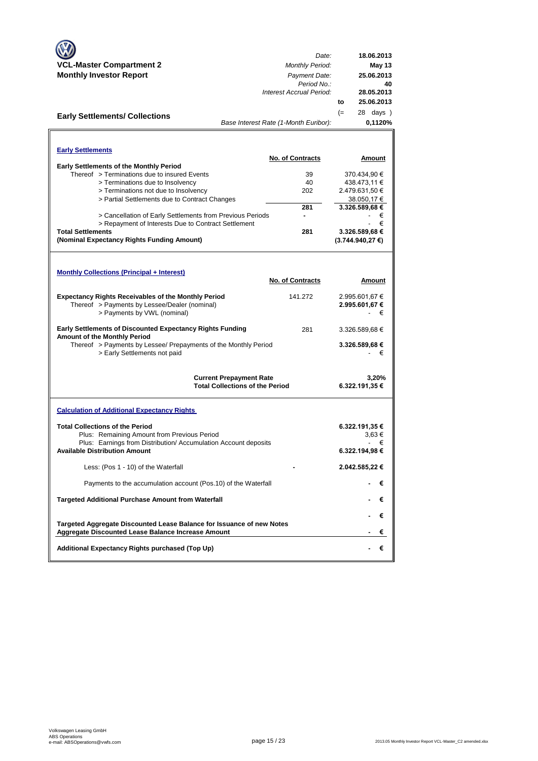|                                                                                                 | Date:                                                                    | 18.06.2013              |
|-------------------------------------------------------------------------------------------------|--------------------------------------------------------------------------|-------------------------|
| <b>VCL-Master Compartment 2</b>                                                                 | <b>Monthly Period:</b>                                                   | May 13                  |
| <b>Monthly Investor Report</b>                                                                  | Payment Date:                                                            | 25.06.2013              |
|                                                                                                 | Period No.:<br>Interest Accrual Period:                                  | 40<br>28.05.2013        |
|                                                                                                 |                                                                          | 25.06.2013<br>to        |
|                                                                                                 |                                                                          | $(=$<br>28 days )       |
| <b>Early Settlements/ Collections</b>                                                           | Base Interest Rate (1-Month Euribor):                                    | 0,1120%                 |
|                                                                                                 |                                                                          |                         |
|                                                                                                 |                                                                          |                         |
| <b>Early Settlements</b>                                                                        |                                                                          |                         |
| <b>Early Settlements of the Monthly Period</b>                                                  | <b>No. of Contracts</b>                                                  | Amount                  |
| Thereof > Terminations due to insured Events                                                    | 39                                                                       | 370.434,90 €            |
| > Terminations due to Insolvency                                                                | 40                                                                       | 438.473,11 €            |
| > Terminations not due to Insolvency                                                            | 202                                                                      | 2.479.631,50 €          |
| > Partial Settlements due to Contract Changes                                                   |                                                                          | 38.050,17 €             |
|                                                                                                 | 281                                                                      | 3.326.589,68 €          |
| > Cancellation of Early Settlements from Previous Periods                                       | ۰                                                                        | €                       |
| > Repayment of Interests Due to Contract Settlement                                             |                                                                          | €                       |
| <b>Total Settlements</b>                                                                        | 281                                                                      | 3.326.589,68 €          |
| (Nominal Expectancy Rights Funding Amount)                                                      |                                                                          | $(3.744.940, 27)$ €)    |
|                                                                                                 |                                                                          |                         |
|                                                                                                 |                                                                          |                         |
| <b>Monthly Collections (Principal + Interest)</b>                                               |                                                                          |                         |
|                                                                                                 | <b>No. of Contracts</b>                                                  | Amount                  |
| <b>Expectancy Rights Receivables of the Monthly Period</b>                                      | 141.272                                                                  | 2.995.601,67 €          |
| Thereof > Payments by Lessee/Dealer (nominal)                                                   |                                                                          | 2.995.601,67 €          |
| > Payments by VWL (nominal)                                                                     |                                                                          | €                       |
|                                                                                                 |                                                                          |                         |
| <b>Early Settlements of Discounted Expectancy Rights Funding</b>                                | 281                                                                      | 3.326.589,68 €          |
| Amount of the Monthly Period<br>Thereof > Payments by Lessee/ Prepayments of the Monthly Period |                                                                          | 3.326.589,68 €          |
| > Early Settlements not paid                                                                    |                                                                          | $\epsilon$              |
|                                                                                                 |                                                                          |                         |
|                                                                                                 |                                                                          |                         |
|                                                                                                 | <b>Current Prepayment Rate</b><br><b>Total Collections of the Period</b> | 3,20%<br>6.322.191,35 € |
|                                                                                                 |                                                                          |                         |
|                                                                                                 |                                                                          |                         |
| <b>Calculation of Additional Expectancy Rights</b>                                              |                                                                          |                         |
| <b>Total Collections of the Period</b>                                                          |                                                                          | 6.322.191,35 €          |
| Plus: Remaining Amount from Previous Period                                                     |                                                                          | $3.63 \in$              |
| Plus: Earnings from Distribution/Accumulation Account deposits                                  |                                                                          | €                       |
| <b>Available Distribution Amount</b>                                                            |                                                                          | 6.322.194,98 €          |
|                                                                                                 |                                                                          |                         |
| Less: (Pos 1 - 10) of the Waterfall                                                             |                                                                          | 2.042.585,22 €          |
|                                                                                                 |                                                                          |                         |
| Payments to the accumulation account (Pos.10) of the Waterfall                                  |                                                                          | €                       |
| <b>Targeted Additional Purchase Amount from Waterfall</b>                                       |                                                                          | €                       |
|                                                                                                 |                                                                          |                         |
|                                                                                                 |                                                                          | €                       |
| Targeted Aggregate Discounted Lease Balance for Issuance of new Notes                           |                                                                          |                         |
| <b>Aggregate Discounted Lease Balance Increase Amount</b>                                       |                                                                          | €                       |
| Additional Expectancy Rights purchased (Top Up)                                                 |                                                                          | €                       |
|                                                                                                 |                                                                          |                         |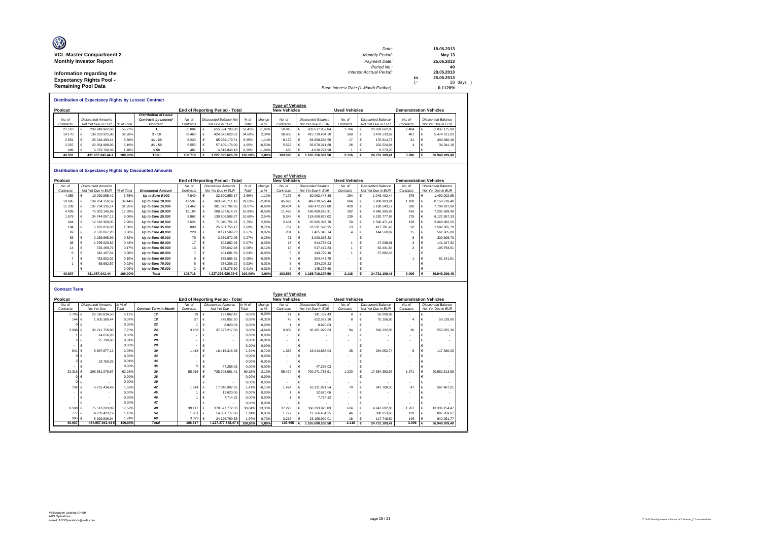| O                               | Date:                                 |      | 18.06.2013 |
|---------------------------------|---------------------------------------|------|------------|
| <b>VCL-Master Compartment 2</b> | <b>Monthly Period:</b>                |      | May 13     |
| <b>Monthly Investor Report</b>  | Payment Date:                         |      | 25.06.2013 |
|                                 | Period No.:                           |      | 40         |
| Information regarding the       | <b>Interest Accrual Period:</b>       |      | 28.05.2013 |
| <b>Expectancy Rights Pool -</b> |                                       | to   | 25.06.2013 |
|                                 |                                       | $(=$ | 28 days    |
| <b>Remaining Pool Data</b>      | Base Interest Rate (1-Month Euribor): |      | 0.1120%    |

|                                                                          | <b>Distribution of Expectancy Rights by Lessee/ Contract</b> |                           |            |                              |           |  |                               |        |          |                         |                                                       |                           |           |  |                           |           |  |                           |
|--------------------------------------------------------------------------|--------------------------------------------------------------|---------------------------|------------|------------------------------|-----------|--|-------------------------------|--------|----------|-------------------------|-------------------------------------------------------|---------------------------|-----------|--|---------------------------|-----------|--|---------------------------|
|                                                                          |                                                              |                           |            |                              |           |  |                               |        |          | <b>Type of Vehicles</b> |                                                       |                           |           |  |                           |           |  |                           |
| <b>New Vehicles</b><br>Poolcut<br><b>End of Reporting Period - Total</b> |                                                              |                           |            |                              |           |  |                               |        |          |                         | <b>Used Vehicles</b><br><b>Demonstration Vehicles</b> |                           |           |  |                           |           |  |                           |
|                                                                          |                                                              |                           |            | <b>Distribution of Lease</b> |           |  |                               |        |          |                         |                                                       |                           |           |  |                           |           |  |                           |
| No. of                                                                   |                                                              | <b>Discounted Amounts</b> |            | Contracts by Lessee/         | No. of    |  | <b>Discounted Balance Not</b> | % of   | change   | No. of                  |                                                       | <b>Discounted Balance</b> | No. of    |  | <b>Discounted Balance</b> | No. of    |  | <b>Discounted Balance</b> |
| Contracts                                                                |                                                              | Not Yet Due in EUR        | % of Total | Contract                     | Contracts |  | Yet Due in EUR                | Total  | in %     | Contracts               |                                                       | Not Yet Due in EUR        | Contracts |  | Not Yet Due in EUR        | Contracts |  | Not Yet Due in EUR        |
| 21.510                                                                   |                                                              | 238.249.962.68            | 55.27%     |                              | 55.004    |  | 655.524.790.88                | 53.41% | $-1.86%$ | 50.816                  |                                                       | 603.617.952.04            | 1.704     |  | 20.869.662.85             | 2.484     |  | 31.037.175.99             |
| 14.170                                                                   |                                                              | 139.053.925.98            | 32.26%     | $2 - 10$                     | 39.460    |  | 424.672.629.62                | 34,60% | 2.34%    | 38,605                  |                                                       | 415.719.484.10            | 368       |  | 3.478.533.69              | 487       |  | 5.474.611.83              |
| 2.551                                                                    |                                                              | 25.018.463.44             | 5.80%      | $11 - 20$                    | 8.220     |  | 85.269.179.71                 | 6.95%  | 1.14%    | 8.172                   |                                                       | 84.698.284.50             | 17        |  | 170,814.73                | 31        |  | 400.080.48                |
| 2.207                                                                    |                                                              | 22.354.989.95             | 5.19%      | $21 - 50$                    | 5.553     |  | 57.109.178.00                 | 4.65%  | $-0.53%$ | 5.523                   |                                                       | 56.870.311.88             | 26        |  | 202.524.94                |           |  | 36,341.18                 |
| 499                                                                      |                                                              | 6.379.700.39              | .48%       | > 50                         | 481       |  | 4.819.848.18                  | 0.39%  | $-1.09%$ | 480                     |                                                       | 4.810.274.98              |           |  | 9.573.20                  |           |  |                           |
| 40.937                                                                   |                                                              | 431.057.042.44 €          | 100.00%    | Total                        | 108,718   |  | 1.227.395.626.39 100.00%      |        | 0.00%    | 103.596                 |                                                       | .165.716.307.50           | 2.116     |  | 24.731.109.41             | 3.006     |  | 36,948,209.48             |

#### **Distribution of Expectancy Rights by Discounted Amounts**

|           |                           |                |            |                          | Distribution of Expectancy Rights by Discounted Amounts |  |                                 |         |          |                         |                                                       |                           |           |                           |                    |           |   |                           |
|-----------|---------------------------|----------------|------------|--------------------------|---------------------------------------------------------|--|---------------------------------|---------|----------|-------------------------|-------------------------------------------------------|---------------------------|-----------|---------------------------|--------------------|-----------|---|---------------------------|
|           |                           |                |            |                          |                                                         |  |                                 |         |          | <b>Type of Vehicles</b> |                                                       |                           |           |                           |                    |           |   |                           |
| Poolcut   |                           |                |            |                          |                                                         |  | End of Reporting Period - Total |         |          | <b>New Vehicles</b>     | <b>Used Vehicles</b><br><b>Demonstration Vehicles</b> |                           |           |                           |                    |           |   |                           |
| No. of    | <b>Discounted Amounts</b> |                |            |                          | No. of                                                  |  | <b>Discounted Amounts</b>       | % of    | change   | No. of                  |                                                       | <b>Discounted Balance</b> | No. of    | <b>Discounted Balance</b> |                    | No. of    |   | <b>Discounted Balance</b> |
| Contracts | Not Yet Due in EUR        |                | % of Total | <b>Discounted Amount</b> | Contracts                                               |  | Not Yet Due in EUR              | Total   | in %     | Contracts               |                                                       | Not Yet Due in EUR        | Contracts |                           | Not Yet Due in EUR | Contracts |   | Not Yet Due in EUR        |
| 4.059     |                           | 16.290.965.42  | 3.78%      | Up to Euro 5,000         | 7,840                                                   |  | 32.600.853.17                   | 2.66%   | $-1,12%$ | 7.178                   |                                                       | 30.062.447.88             | 284       |                           | 1.046.402.44       | 378       |   | 1.492.002.85              |
| 18.685    |                           | 139.854.158.59 | 32.44%     | Up to Euro 10,000        | 47.597                                                  |  | 363.678.711.16                  | 29.63%  | $-2.81%$ | 45.693                  |                                                       | 349.619.529.44            | 804       |                           | 5.908.903.24       | 1.100     | € | 8.150.278.48              |
| 11.339    |                           | 137.734.335.14 | 31.95%     | Up to Euro 15,000        | 31.462                                                  |  | 381.372.702.85                  | 31.07%  | $-0,88%$ | 30.404                  |                                                       | 368.472.222.60            | 428       |                           | 5.190.543.17       | 630       | € | 7.709.937.08              |
| 4.439     |                           | 75,803,145.89  | 17.59%     | Up to Euro 20,000        | 12.184                                                  |  | 208.557.614.72                  | 16.99%  | $-0,59%$ | 11,486                  |                                                       | 196.408.619,31            | 282       |                           | 4.946.305.93       | 416       |   | 7.202.689.48              |
| 1.579     |                           | 34.744.057.11  | 8.06%      | Up to Euro 25,000        | 5.862                                                   |  | 130.106.508.27                  | 10.60%  | 2,54%    | 5.348                   |                                                       | 118.650.873.02            | 239       |                           | 5.332.777.92       | 275       |   | 6.122.857,33              |
| 464       |                           | 12.518.368.05  | 2.90%      | Up to Euro 30,000        | 2.621                                                   |  | 71.040.751.31                   | 5.79%   | 2,88%    | 2.434                   |                                                       | 65.985.397.70             | 59        |                           | 1.586.471,41       | 128       |   | 3.468.882.20              |
| 184       |                           | 5.931.016.33   | 1.38%      | Up to Euro 35,000        | 800                                                     |  | 25.601.756.17                   | 2.09%   | 0.71%    | 737                     |                                                       | 23.591.598.95             | 13        |                           | 417.791.43         | 50        |   | 1.592.365.79              |
| 69        |                           | 2.570.067.20   | 0.60%      | Up to Euro 40,000        | 220                                                     |  | 8.171.509.73                    | 0.67%   | 0.07%    | 201                     |                                                       | 7.465.343.74              |           |                           | 144,560.99         | 15        |   | 561.605,00                |
| 53        |                           | 2.236.865.99   | 0.52%      | Up to Euro 45,000        | 79                                                      |  | 3.339.972,05                    | 0.27%   | $-0,25%$ | 71                      |                                                       | 3.000.363.32              |           |                           |                    |           |   | 339,608.73                |
| 38        |                           | 1.795.920.82   | 0.42%      | Up to Euro 50,000        | 17                                                      |  | 802.852,26                      | 0.07%   | $-0.35%$ | 13                      |                                                       | 614.766.03                |           |                           | 47.038.91          |           |   | 141.047.32                |
| 14        |                           | 733,459.79     | 0.17%      | Up to Euro 55,000        | 13                                                      |  | 675.642,98                      | 0.06%   | $-0.12%$ | 10                      |                                                       | 517.417.83                |           |                           | 52.431,54          |           |   | 105.793.61                |
|           |                           | 342.197.52     | 0.08%      | Up to Euro 60,000        |                                                         |  | 401.681,59                      | 0.03%   | $-0,05%$ |                         |                                                       | 343,799.16                |           |                           | 57.882,43          |           |   |                           |
|           |                           | 433,802.02     | 0.10%      | Up to Euro 65,000        |                                                         |  | 565.585.31                      | 0.05%   | $-0.05%$ |                         |                                                       | 504.443.70                |           |                           |                    |           |   | 61.141.61                 |
|           |                           | 68.682.57      | 0.02%      | Up to Euro 70,000        |                                                         |  | 334.208,22                      | 0.03%   | 0,01%    |                         |                                                       | 334.208.22                |           |                           |                    |           |   |                           |
|           |                           |                | 0.00%      | Up to Euro 75,000        | 2                                                       |  | 145.276.60                      | 0.01%   | 0.01%    |                         |                                                       | 145.276.60                |           |                           |                    |           |   |                           |
| 40.937    |                           | 431.057.042.44 | 100.00%    | <b>Total</b>             | 108,718                                                 |  | 1.227.395.626.39€               | 100.00% | 0.00%    | 103,596                 |                                                       | 1.165.716.307.50          | 2.116     |                           | 24.731.109.41      | 3.006     |   | 36,948,209.48             |

| <b>Contract Term</b> |                           |         |                               |           |                                        |         |          |                          |                          |                          |                               |           |                               |        |
|----------------------|---------------------------|---------|-------------------------------|-----------|----------------------------------------|---------|----------|--------------------------|--------------------------|--------------------------|-------------------------------|-----------|-------------------------------|--------|
|                      |                           |         |                               |           |                                        |         |          | <b>Type of Vehicles</b>  |                          |                          |                               |           |                               |        |
| Poolcut              |                           |         |                               |           | <b>End of Reporting Period - Total</b> |         |          | <b>New Vehicles</b>      |                          | <b>Used Vehicles</b>     |                               |           | <b>Demonstration Vehicles</b> |        |
| No. of               | <b>Discounted Amounts</b> | in % of |                               | No. of    | <b>Discounted Amounts</b>              | in % of | change   | No. of                   | Discounted Balance       | No. of                   | <b>Discounted Balance</b>     | No. of    | <b>Discounted Balance</b>     |        |
| Contracts            | Not Yet Due               | Total   | <b>Contract Term in Month</b> | Contracts | Not Yet Due                            | Total   | in %     | Contracts                | Not Yet Due in EUR       | Contracts                | Not Yet Due in EUR            | Contracts | Not Yet Due in EUR            |        |
| 1.705 €              | 26.318.834.50             | 6.11%   | 12                            | 19        | 197.862,42<br>€                        | 0.02%   | $-6.09%$ | 11                       | 141.762,43               | 8                        | 56.099.99                     |           |                               |        |
| 144                  | 1.605.380.44<br>€         | 0.37%   | 18                            | 57        | 778.052.20<br>€                        | 0.06%   | $-0.31%$ | 45                       | 652.577.30               |                          | 75.156.90                     |           | 50,318.00                     |        |
|                      |                           | 0.00%   | 22                            |           | €<br>8.820.03                          | 0.00%   | 0.00%    |                          | 8,820.03                 |                          | €                             |           | $\epsilon$                    |        |
| 3.008                | 33.211.759.80             | 7.70%   | 24                            | 3.139     | $\epsilon$<br>37.597.217.06            | 3.06%   | $-4.64%$ | 3.009                    | 36.181.929.63<br>€       | 94                       | 860.232.05<br>€               | 36        | 555.055.38                    |        |
|                      | 14,656.28                 | 0.00%   | 26                            |           | £<br>$\overline{\phantom{a}}$          | 0.00%   | 0.00%    | $\overline{\phantom{a}}$ |                          | $\sim$                   |                               | $\sim$    |                               |        |
|                      | 25,798.66                 | 0.01%   | 28                            |           |                                        | 0.00%   | $-0.01%$ | $\overline{\phantom{a}}$ |                          | $\sim$                   | €                             |           |                               |        |
|                      |                           | 0.00%   | 29                            |           | €<br>$\overline{\phantom{a}}$          | 0.00%   | 0.00%    | $\overline{\phantom{a}}$ | $\overline{\phantom{a}}$ | $\blacksquare$           | €<br>٠                        |           | €                             | $\sim$ |
| 841                  | 8.867.877.12              | 2.06%   | 30                            | 1.418     | €<br>16,416,315.98                     | 1.34%   | $-0.72%$ | 1.382                    | 16.014.883.04            | 28                       | 284.052.74                    | 8         | 117.380,20                    |        |
|                      |                           | 0.00%   | 33                            |           | €<br>$\overline{\phantom{a}}$          | 0.00%   | 0.00%    | $\blacksquare$           | $\overline{\phantom{a}}$ | $\blacksquare$           | €<br>$\overline{\phantom{a}}$ | $\sim$    |                               |        |
|                      | 23,760.26                 | 0.01%   | 34                            |           | €                                      | 0.00%   | $-0.01%$ | $\blacksquare$           |                          | $\blacksquare$           | €                             |           |                               |        |
|                      |                           | 0.00%   | 35                            |           | 47.258.03                              | 0.00%   | 0.00%    | 5                        | 47.258,03                | $\blacksquare$           | €                             | $\sim$    |                               |        |
| 23,316               | 268.681.076.87            | 62.33%  | 36                            | 58,015    | €<br>738.208.661.41                    | 60.15%  | $-2.19%$ | 55.424                   | 700.271.783.91           | 1.220                    | €<br>17.354.363.92            | 1.371     | 20.582.513.58<br>€            |        |
|                      |                           | 0.00%   | 38                            |           | €<br>$\overline{\phantom{a}}$          | 0.00%   | 0.00%    | $\blacksquare$           | $\overline{\phantom{a}}$ | $\sim$                   | €                             | $\sim$    |                               |        |
|                      |                           | 0.00%   | 39                            |           | €                                      | 0.00%   | 0.00%    | $\blacksquare$           |                          | $\blacksquare$           | €                             |           | €                             |        |
| 736                  | 6.731.434.49              | 1.56%   | 42                            | 1.614     | 17.346.997.05<br>€                     | 1.41%   | $-0.15%$ | 1.497                    | 16.131.821.54            | 70                       | 647.708,50<br>€               | 47        | 567.467.01                    |        |
|                      |                           | 0.00%   | 45                            |           | €<br>12.620.06                         | 0.00%   | 0.00%    |                          | 12.620.06                | $\overline{\phantom{a}}$ |                               | $\sim$    |                               |        |
|                      |                           | 0.00%   | 46                            |           | €<br>7.714.32                          | 0.00%   | 0.00%    |                          | 7.714,32                 | $\overline{\phantom{a}}$ | €                             |           |                               |        |
|                      |                           | 0.00%   | 47                            |           | €                                      | 0.00%   | 0.00%    | $\blacksquare$           |                          | $\overline{\phantom{a}}$ | €                             |           |                               |        |
| 9,500                | 75.513.203.89             | 17.52%  | 48                            | 39.117    | $\epsilon$<br>378.577.772.33           | 30.84%  | 13.33%   | 37.226                   | 360.293.925.03           | 624                      | 4.947.692.83<br>€             | 1.267     | €<br>13.336.154.47            |        |
| 777 €                | 4.733.423.19              | 1.10%   | 54                            | 1.951     | 14.051.777.00<br>$\epsilon$            | 1.14%   | 0.05%    | 1.777                    | 12.766.454.25            | 46                       | 388,053,68<br>€               | 128       | 897.269.07<br>€               |        |
| 905 $\epsilon$       | 5.329.836.94              | 1.24%   | 60                            | 3,379     | $\epsilon$<br>24.126.790.58            | 1.97%   | 0.73%    | 3.216                    | 23.166.990.01            | 18                       | 117.748,80                    | 145       | 842.051.77                    |        |
| 40.937               | 431.057.042.44 €          | 100,00% | Total                         | 108,717   | 1.227.377.858.47 €                     | 100.00% | 0.00%    | 103.595                  | 1.165.698.539.58         | $2.116$ $\epsilon$       | 24.731.109.41                 | 3.006     | 36.948.209,48                 |        |
|                      |                           |         |                               |           |                                        |         |          |                          |                          |                          |                               |           |                               |        |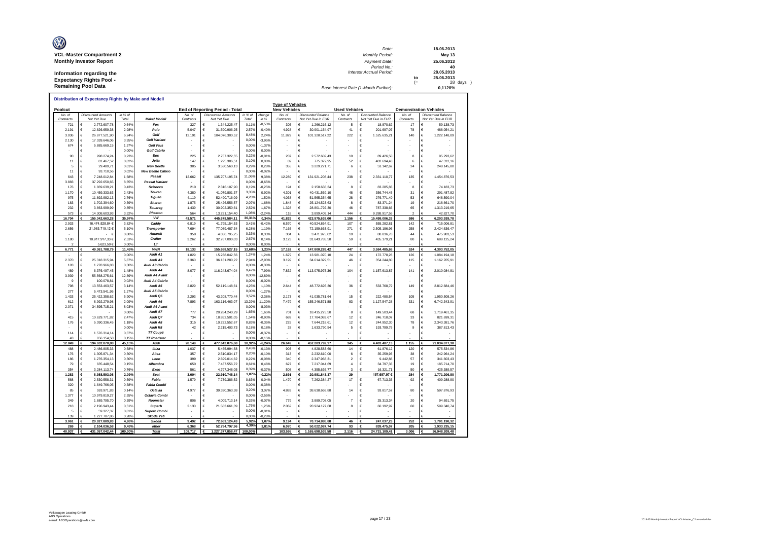| O<br><b>VCL-Master Compartment 2</b> | Date:                                 |      | 18.06.2013<br>May 13 |
|--------------------------------------|---------------------------------------|------|----------------------|
|                                      | <b>Monthly Period:</b>                |      |                      |
| <b>Monthly Investor Report</b>       | Payment Date:                         |      | 25.06.2013           |
|                                      | Period No.:                           |      | 40                   |
| Information regarding the            | <b>Interest Accrual Period:</b>       |      | 28.05.2013           |
| <b>Expectancy Rights Pool -</b>      |                                       | to   | 25.06.2013           |
|                                      |                                       | $(=$ | 28 days              |
| <b>Remaining Pool Data</b>           | Base Interest Rate (1-Month Euribor): |      | 0.1120%              |

|                   |            |                                          |                  |                          |                   |                                          |                  |                | <b>Type of Vehicles</b> |                                                 |                          |                                                 |                               |                                                 |
|-------------------|------------|------------------------------------------|------------------|--------------------------|-------------------|------------------------------------------|------------------|----------------|-------------------------|-------------------------------------------------|--------------------------|-------------------------------------------------|-------------------------------|-------------------------------------------------|
| Poolcut           |            |                                          |                  |                          |                   | End of Reporting Period - Total          |                  |                | <b>New Vehicles</b>     |                                                 | <b>Used Vehicles</b>     |                                                 | <b>Demonstration Vehicles</b> |                                                 |
| No a<br>Contracts |            | <b>Discounted Amounts</b><br>Not Yet Due | in % of<br>Total | Make/ Modell             | No o<br>Contracts | <b>Discounted Amounts</b><br>Not Yet Due | in % of<br>Total | change<br>in % | No of<br>Contracts      | <b>Discounted Balance</b><br>Not Yet Due in EUR | No. of<br>Contracts      | <b>Discounted Balance</b><br>Not Yet Due in EUR | No of<br>Contracts            | <b>Discounted Balance</b><br>Not Yet Due in EUR |
| 721               | €          | 2.772.607,78                             | 0,649            | Fox                      | 327               | 1.344.225,47                             | 0.11%            | $-0.539$       | 305                     | 1.266.216,12<br>€                               | 5                        | 18.870,62<br>e.                                 | 17                            | €                                               |
| 2.191             | €          | 12.826.659,38                            | 2,98%            | Polo                     | 5.047             | €<br>31.590.906,25                       | 2,57%            | $-0,40%$       | 4.928                   | 30.901.154,97<br>€                              | 41                       | €<br>201.697,07                                 | 78                            | €<br>488.054,21                                 |
| 3.036             | €          | 26.877.521,90                            | 6,24%            | Golf                     | 12.191            | €<br>104.076.300,52                      | 8.48%            | 2,249          | 11.829                  | 101.328.517,22<br>€                             | 222                      | €<br>1.525.635,21                               | 140                           | €<br>1.222.148,09                               |
| 2.130             | €          | 17.039.646,06                            | 3,95%            | <b>Golf Variant</b>      |                   | €                                        | 0,00%            | $-3,959$       |                         | €                                               |                          | €                                               |                               | €                                               |
| 674               | €          | 5.885.669,15                             | 1.379            | <b>Golf Plus</b>         |                   | €                                        | 0.00%            | $-1,37%$       |                         | €                                               |                          | €                                               |                               | €                                               |
|                   | €          |                                          | 0.00%            | Golf Cabrio              |                   | €                                        | 0.00%            | 0.00%          |                         | €                                               |                          | €                                               |                               | €                                               |
| 90                | $\epsilon$ | 998.274,24                               | 0.23%            | Eos                      | 225               | €<br>2.757.322,55                        | 0.22%            | $-0.01%$       | 207                     | €<br>2.572.602.43                               | 10                       | €<br>89 426 50                                  | 8                             | €                                               |
| 11                | €          | 81.467,52                                | 0,029            | Jetta                    | 147               | €<br>1.225.386.51                        | 0,10%            | 0.08%          | 8S                      | €<br>775 379 95                                 | 52                       | €<br>402.694.40                                 | 6                             | €                                               |
| 5                 | €          | 29.489,71                                | 0,01%            | <b>New Beetle</b>        | 385               | €<br>3.530.560,13                        | 0,29%            | 0.28%          | 355                     | €<br>3.229.271,71                               | 6                        | €<br>53.142,62                                  | 24                            | 248.145,80<br>€                                 |
| 11                | €          | 93.710,56                                | 0,02%            | <b>New Beetle Cabrio</b> |                   | €                                        | 0,00%            | $-0,029$       |                         | €                                               |                          | €                                               |                               | €                                               |
| 643               | €          | 7.248.012.84                             | 1.68%            | Passat                   | 12.662            | €<br>135.707.195,74                      | 11,06%           | 9,38%          | 12.289                  | €<br>131.921.208,44                             | 238                      | €<br>2.331.110,77                               | 135                           | €<br>1.454.876,53                               |
| 3.883             | €          | 37.292.650,65                            | 8,65%            | Passat Variant           |                   | €                                        | 0,00%            | $-8,65%$       |                         | €                                               |                          | €                                               |                               | €                                               |
| 176               | €          | 1869 639 21                              | 0.43%            | Scirocco                 | 210               | €<br>2.316.107.90                        | 0.19%            | $-0.25%$       | 194                     | €<br>2 158 638 34                               | 8                        | €<br>83 285 83                                  | 8                             | €<br>74.183.73                                  |
| 1.170             | €          | 10.459.333,63                            | 2,43%            | Touran                   | 4.380             | €<br>41.079.801,37                       | 3,35%            | 0,92%          | 4.301                   | €<br>40.431.569,10                              | 48                       | €<br>356.744,45                                 | 31                            | €<br>291.487,82                                 |
| 975               | €          | 11.892.982.13                            | 2.76%            | Tiguan                   | 4.119             | €<br>52.490.716.09                       | 4.28%            | 1.52%          | 4.038                   | €<br>51.565.354.65                              | 28                       | €<br>276.771.40                                 | 53                            | €<br>648,590.04                                 |
|                   |            |                                          |                  | Sharan                   |                   | $\in$                                    | 2,07%            |                |                         |                                                 |                          | €                                               |                               | €                                               |
| 183<br>232        | €          | 1.702.394,60<br>3 663 999 99             | 0,399<br>0.85%   | Touareg                  | 1.875<br>1 439    | 25.426.556,57<br>€<br>30.902.350.61      | 2.52%            | 1,68%<br>1.67% | 1.848<br>1.328          | €<br>25.124.523,63<br>€                         | 8<br>46                  | 83.371,24<br>€<br>787.338.66                    | 19<br>65                      | 218.661,70<br>€                                 |
|                   | €<br>€     |                                          |                  |                          |                   | €                                        |                  |                |                         | 28.801.792,30<br>€                              | 444                      | Ë                                               | 2                             | 1.313.219,65<br>€                               |
| 573               |            | 14.308.603,93                            | 3.329            | Phaeton<br><b>VW</b>     | 564               | 13.231.154,40                            | 1.08%            | $-2.249$       | 118                     | 3.899.409,14                                    |                          | 9.288.917,56                                    |                               | 42.827,70                                       |
| 16.704            | €          | 155.042.663.28                           | 35.97%           |                          | 43.571            | €<br>445.678.584.11                      | 36,319           | 0.34%          | 41.829                  | 423.975.638.00<br>€                             | 1.156                    | 15,499,006.33<br>€                              | 586                           | €<br>6.203.939.78                               |
| 2.933             |            | 16.474.528,84 €                          | 3,82%            | Caddy                    | 6.819             | €<br>41.795.154,53                       | 3,41%            | $-0,42%$       | 6.570                   | €<br>40.524.864,91                              | 107                      | €<br>555.282,81                                 | 142                           | €<br>715.006,81                                 |
| 2.656             |            | 21.963.719,12€                           | 5,10%            | <b>Transporter</b>       | 7.694             | €<br>77.089.487,34                       | 6,28%            | 1,19%          | 7 165                   | €<br>72.159.663,91                              | 271                      | €<br>2.505.186,96                               | 258                           | €<br>2.424.636,47                               |
|                   |            | - €                                      | 0,00%            | Amarok                   | 358               | €<br>4.036.795,25                        | 0.339            | 0,339          | 304                     | €<br>3.471.975,02                               | 10                       | €<br>88.836,70                                  | 44                            | €<br>475.983,53                                 |
| 1.180             |            | 10.917.917,33 €                          | 2,53%            | Crafter                  | 3.262             | €<br>32.767.090,03                       | 2,67%            | 0,14%          | 3.123                   | €<br>31.643.785,58                              | 59                       | €<br>435.179,21                                 | 80                            | €<br>688.125,24                                 |
|                   |            | 5.623,50 €                               | 0,00%            | LT                       |                   |                                          | 0.00%            | 0,00%          |                         |                                                 |                          |                                                 |                               |                                                 |
| 6.771             | €          | 49.361.788,79                            | 11,45%           | <b>VWN</b>               | 18.133            | 155.688.527,15<br>€                      | 12,68%           | 1,23%          | 17.162                  | €<br>147.800.289,42                             | 447                      | €<br>3.584.485,68                               | 524                           | €<br>4.303.752,05                               |
|                   | €          |                                          | 0,00%            | Audi A1                  | 1.829             | €<br>15.238.042.56                       | 1,24%            | 1.24%          | 1.679                   | €<br>13.981.070,10                              | 24                       | €<br>172,778.28                                 | 126                           | €<br>1.084.194,18                               |
| 2.370             | €          | 25.318.315.94                            | 5.87%            | Audi A3                  | 3.360             | €<br>36.131.280.22                       | 2,94%            | $-2.93%$       | 3.199                   | 34.614.329.51<br>€                              | 46                       | €<br>354.244,80                                 | 115                           | €<br>1.162.705.91                               |
| 103               | €          | 1.278.966,83                             | 0,30%            | Audi A3 Cabrio           |                   | €                                        | 0.00%            | $-0.30%$       |                         | €                                               |                          | €                                               |                               | €                                               |
| 489               | €          | 6.376.497,45                             | 1.48%            | Audi A4                  | 8.077             | €<br>116.243.674,04                      | 9.47%            | 7,99%          | 7.832                   | 113.075.975,36<br>€                             | 104                      | €<br>1.157.613,87                               | 141                           | €<br>2.010.084,81                               |
| 3.939             | €          | 55.568.275,61                            | 12.89%           | Audi A4 Avant            |                   | €                                        | 0.00%            | 12.89%         |                         | €                                               |                          | €                                               |                               | €                                               |
| $\mathbf{Q}$      | €          | 100.078,81                               | 0,02%            | Audi A4 Cabrio           |                   | €                                        | n nns            | $-0.02%$       |                         | €                                               |                          | €                                               |                               | €                                               |
| 798               | €          | 13.553.463,57                            | 3,14%            | Audi A5                  | 2.829             | €<br>52.119.148,61                       | 4,25%            | 1,10%          | 2.644                   | €<br>48.772.695,36                              | 36                       | €<br>533.768,79                                 | 149                           | €<br>2.812.684,46                               |
| 277               | €          | 5.473.541,95                             | 1,27%            | Audi A5 Cabrio           |                   | €                                        | 0,00%            | $-1,279$       |                         | €                                               |                          | €                                               |                               | €                                               |
| 1.433             | €          | 25.422.358,62                            | 5,90%            | Audi Q5                  | 2.293             | €<br>43.208.770.44                       | 3.52%            | $-2,38%$       | 2.173                   | €<br>41.035.781.64                              | 15                       | €<br>222.480,54                                 | 105                           | €<br>1.950.508,26                               |
| 612               | €          | 8.992.279,98                             | 2,09%            | Audi A6                  | 7.893             | €<br>163.116.463,07                      | 13,29%           | 11,209         | 7.479                   | €<br>155.246.571,88                             | 83                       | €<br>1.127.547,28                               | 331                           | €<br>6.742.343,91                               |
| 2.071             | €          | 34.595.715,21                            | 8,03%            | Audi A6 Avant            |                   | €                                        | 0.00%            | $-8.039$       |                         | €                                               |                          | €                                               |                               | €                                               |
|                   | €          |                                          | 0,00%            | Audi A7                  | 777               | €<br>20.284.240,29                       | 1,65%            | 1.659          | 701                     | €<br>18.415.275,50                              | 8                        | €<br>149.503,44                                 | 68                            | €<br>1.719.461,35                               |
| 415               | €          | 10.629.771,82                            | 2,479            | Audi Q7                  | 734               | €<br>18.852.501,05                       | 1.54%            | $-0,93%$       | 689                     | €<br>17.784.083,67                              | 12                       | €<br>246 718 07                                 | 33                            | €<br>821.699,31                                 |
| 176               | €          | 5.090.336.45                             | 1.189            | Audi A8                  | 315               | €<br>10.232.552,67                       | 0,83%            | $-0.359$       | 225                     | €<br>7.644.218,61                               | 12                       | €<br>244.952,30                                 | 78                            | €<br>2.343.381,76                               |
|                   | €          |                                          | 0,00%            | Audi R8                  | 42                | €<br>2.215.403,73                        | 0.18%            | 0.189          | 28                      | €<br>1.633.790,54                               | 5                        | €<br>193.799,76                                 | 9                             | €<br>387.813,43                                 |
| 114               | €          | 1.576.314,14                             | 0,37%            | <b>TT Coupé</b>          |                   | €                                        | 0,00%            | $-0.379$       |                         | €                                               |                          | €                                               |                               | €                                               |
| 43                | €          | 656 154 50                               | 0.15%            | <b>TT Roadster</b>       |                   |                                          | 0.00%            | $-0.15%$       |                         |                                                 |                          |                                                 |                               |                                                 |
| 12.849            | €          | 194.632.070,88                           | 45,15%           | Audi                     | 28.149            | 477.642.076,68                           | 38,92%           | $-6,24%$       | 26.649                  | 452.203.792,17                                  | 345                      | 4.403.407,13<br>€                               | 1.155                         | 21.034.877,38                                   |
| 488               | €          | 2.486.805,33                             | 0.58%            | lbiza                    | 1.037             | 5.465.994,58<br>€                        | 0,45%            | $-0.139$       | 903                     | 4.828.583,60<br>€                               | 14                       | €<br>61.876,12                                  | 120                           | 575.534,86<br>€                                 |
| 176               | €          | 1.305.871,34                             | 0,30%            | Altea                    | 357               | €<br>2.510.834,17                        | 0,20%            | $-0,10$ %      | 313                     | €<br>2.232.610,00                               | 6                        | €<br>35.259,93                                  | 38                            | €<br>242.964,24                                 |
| 186               | €          | 1.276.354.13                             | 0.30%            | Leon                     | 399               | €<br>2.699.014,62                        | 0,22%            | $-0.089$       | 340                     | €<br>2.347.968.31                               | $\overline{\phantom{a}}$ | €<br>9.442.88                                   | 57                            | €<br>341.603,43                                 |
| 79                | €          | 635.448,54                               | 0,15%            | Alhambra                 | 650               | €<br>7.437.556,72                        | 0,61%            | 0,46%          | 627                     | €<br>7.217.044,69                               | $\overline{4}$           | €<br>34.797,33                                  | 19                            | €<br>185.714,70                                 |
| 354               | €          | 3.284.113.74                             | 0.76%            | Exeo                     | 561               | €<br>4.797.348.05                        | 0.39%            | $-0.379$       | 508                     | €<br>4.355.636.77                               | $\overline{3}$           | Ë<br>16,321.71                                  | 50                            | 425.389.57                                      |
| 1.283             |            | 8.988.593,08                             | 2,09%            | Seat                     | 3.004             | 22.910.748,14                            | 1,87%            | $-0.22%$       | 2.691                   | £<br>20.981.843,37                              | 29                       | 157.697,97 €                                    | 284                           | 1.771.206,80                                    |
| 568               | €          | 2 530 558 31                             | 0.59%            | Fabia                    | 1.579             | €<br>7.739.386.52                        | 0.63%            | 0.04%          | 1.470                   | €<br>7 262 384 27                               | 17                       | €<br>67.713.35                                  | 92                            | €<br>409.288.90                                 |
| 320               | €          | 1.649.766,05                             | 0,38%            | <b>Fabia Combi</b>       |                   | €                                        | 0.00%            | $-0,38%$       |                         | €                                               |                          | €                                               |                               | €                                               |
| 85                | €          | 593.971.83                               | 0.14%            | Octavia                  | 4.977             | €<br>39.330.363.38                       | 3,20%            | 3.07%          | 4.883                   | 38.638.668.88<br>€                              | 14                       | €<br>93.817,57                                  | 80                            | €<br>597.876,93                                 |
| 1.377             | €          | 10.979.819,27                            | 2.55%            | Octavia Combi            |                   | €                                        | 0.00%            | $-2.55$        |                         | €                                               |                          | €                                               |                               | €                                               |
| 349               | €          | 1 689 795 70                             | 0.39%            | Roomster                 | 806               | €<br>4 009 713 14                        | 0,33%            | $-0.079$       | 779                     | €<br>3 889 708 05                               | $\overline{7}$           | €<br>25 313 34                                  | 20                            | €<br>94 691 75                                  |
| 218               | €          | 2.196.943,44                             | 0,51%            | <b>Superb</b>            | 2.130             | €<br>21.583.661,39                       | 1,76%            | 1,25%          | 2.062                   | €<br>20.924.127.68                              | 8                        | €<br>60.192,97                                  | 60                            | €<br>599.340,74                                 |
|                   |            |                                          | 0.01%            |                          |                   | €                                        | 0,00%            | $-0.019$       |                         | €                                               |                          | €                                               |                               | €                                               |
| 5                 | $\epsilon$ | 59.327,37                                |                  | <b>Superb Combi</b>      |                   |                                          | 0.00%            |                |                         |                                                 |                          |                                                 |                               |                                                 |
| 139               | €          | 1.227.707,86                             | 0,28%            | Skoda Yeti               |                   |                                          |                  | $-0.28$        |                         |                                                 |                          |                                                 |                               |                                                 |
| 3.061             | €          | 20.927.889,83<br>2.104.036.58            | 4,86%<br>0.49%   | Skoda<br>other           | 9.492<br>6.368    | 72.663.124,43<br>€<br>€<br>52.794.797.96 | 5,92%<br>4.30°   | 1,07%<br>3.81% | 9.194<br>6.070          | €<br>70.714.888,88<br>50.022.087.74<br>€        | 46<br>93                 | €<br>247.037,23<br>839.475.07<br>€              | 252<br>205                    | 1.701.198,32<br>€<br>1.933.235.15<br>€          |
| 269               | €          |                                          |                  |                          |                   |                                          |                  |                |                         |                                                 |                          |                                                 |                               |                                                 |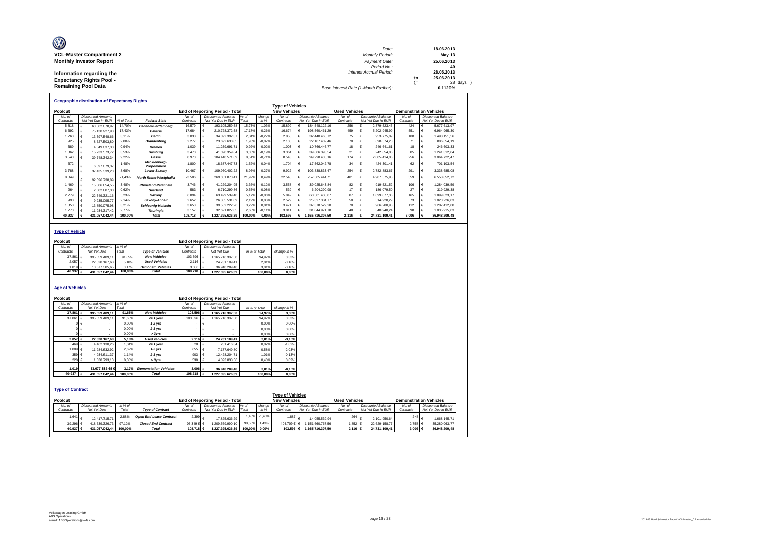| O                               | Date:                                 |     | 18.06.2013 |
|---------------------------------|---------------------------------------|-----|------------|
| <b>VCL-Master Compartment 2</b> | <b>Monthly Period:</b>                |     | May 13     |
| <b>Monthly Investor Report</b>  | Payment Date:                         |     | 25.06.2013 |
|                                 | Period No.:                           |     | 40         |
| Information regarding the       | Interest Accrual Period:              |     | 28.05.2013 |
| <b>Expectancy Rights Pool -</b> |                                       | to  | 25.06.2013 |
|                                 |                                       | $=$ | 28 days    |
| <b>Remaining Pool Data</b>      | Base Interest Rate (1-Month Euribor): |     | 0.1120%    |

|           | <b>Geographic distribution of Expectancy Rights</b> |                           |            |                                   |           |  |                                 |         |          |                         |  |                           |                      |            |                           |                               |                    |
|-----------|-----------------------------------------------------|---------------------------|------------|-----------------------------------|-----------|--|---------------------------------|---------|----------|-------------------------|--|---------------------------|----------------------|------------|---------------------------|-------------------------------|--------------------|
|           |                                                     |                           |            |                                   |           |  |                                 |         |          | <b>Type of Vehicles</b> |  |                           |                      |            |                           |                               |                    |
| Poolcut   |                                                     |                           |            |                                   |           |  | End of Reporting Period - Total |         |          | <b>New Vehicles</b>     |  |                           | <b>Used Vehicles</b> |            |                           | <b>Demonstration Vehicles</b> |                    |
| No. of    |                                                     | <b>Discounted Amounts</b> |            |                                   | No. of    |  | <b>Discounted Amounts</b>       | % of    | change   | No. of                  |  | <b>Discounted Balance</b> | No. of               |            | <b>Discounted Balance</b> | No. of                        | Discounted Balance |
| Contracts |                                                     | Not Yet Due in EUR        | % of Total | <b>Federal State</b>              | Contracts |  | Not Yet Due in EUR              | Total   | in %     | Contracts               |  | Not Yet Due in EUR        | Contracts            |            | Not Yet Due in EUR        | Contracts                     | Not Yet Due in EUR |
| 5.818     |                                                     | 63.382.878.97             | 14.70%     | <b>Baden-Wuerttemberg</b>         | 16.579    |  | 193.105.259.58                  | 15.73%  | 1.03%    | 15,899                  |  | 184.548.122.16            | 256                  | €          | 2.879.523.45              | 424                           | 5.677.613.97       |
| 6.692     |                                                     | 75.130.927.98             | 17.43%     | Bavaria                           | 17,684    |  | 210.728.372.58                  | 17,17%  | $-0.26%$ | 16.674                  |  | 198.560.461.29            | 459                  | €          | 5.202.945.99              | 551                           | 6.964.965.30       |
| 1.263     |                                                     | 13.397.548.66             | 3.11%      | <b>Berlin</b>                     | 3.038     |  | 34.892.392.37                   | 2,84%   | $-0.27%$ | 2.855                   |  | 32.440.465.72             | 75                   |            | 953,775.09                | 108                           | 1.498.151.56       |
| 925       |                                                     | 8.627.503.80              | 2,00%      | <b>Brandenburg</b>                | 2.277     |  | 23.692.630.85                   | 1,93%   | $-0.07%$ | 2.136                   |  | 22.107.402.46             | 70                   |            | 698.574.20                | 71                            | 886.654.19         |
| 389       |                                                     | 4.049.037.33              | 0.94%      | <b>Bremen</b>                     | 1.039     |  | 11.259.691.71                   | 0,92%   | $-0.02%$ | 1.003                   |  | 10.766.446.77             | 18                   |            | 246.641.61                | 18                            | 246.603,33         |
| 1.362     |                                                     | 15.233.573.72             | 3.53%      | Hamburg                           | 3.470     |  | 41.090.359.64                   | 3,35%   | $-0.19%$ | 3.364                   |  | 39.606.393.54             | 21                   |            | 242.654.06                | 85                            | 1.241.312.04       |
| 3.543     |                                                     | 39.748.342.34             | 9,22%      | Hesse                             | 8.973     |  | 104.448.571.69                  | 8,51%   | $-0.71%$ | 8.543                   |  | 99.298.435,16             | 174                  |            | 2.085.414.06              | 256                           | 3.064.722,47       |
| 672       |                                                     | 6.397.079.37              | 1.48%      | Mecklenburg-<br><b>Vorpommern</b> | 1.800     |  | 18.687.447.73                   | 1,52%   | 0.04%    | 1.704                   |  | 17.562.042.78             | 34                   |            | 424.301.41                | 62                            | 701.103.54         |
| 3.788     |                                                     | 37.435.339.20             | 8.68%      | <b>Lower Saxonv</b>               | 10.467    |  | 109.960.402.22                  | 8,96%   | 0.27%    | 9.922                   |  | 103.838.833.47            | 254                  |            | 2.782.883.67              | 291                           | 3.338.685.08       |
| 8.849     |                                                     | 92.396.738.89             | 21,43%     | <b>North Rhine-Westphalia</b>     | 23.506    |  | 269.051.873.41                  | 21,92%  | 0.49%    | 22.546                  |  | 257.505.444.71            | 401                  |            | 4.987.575.98              | 559                           | 6.558.852.72       |
| 1.469     |                                                     | 15.006.654.55             | 3.48%      | Rhineland-Palatinate              | 3.746     |  | 41.229.204.95                   | 3.36%   | $-0.12%$ | 3.558                   |  | 39.025.643.84             | 82                   |            | 919.521.52                | 106                           | 1.284.039.59       |
| 264       |                                                     | 2.682.607.30              | 0.62%      | Saarland                          | 583       |  | 6.710.299.86                    | 0,55%   | $-0.08%$ | 539                     |  | 6.204.290.98              | 17                   | €          | 186.079.50                | 27                            | 319.929.38         |
| 2.279     |                                                     | 22.549.321.16             | 5.23%      | Saxonv                            | 6.094     |  | 63.499.539.40                   | 5.17%   | $-0.06%$ | 5.842                   |  | 60.501.438.87             | 87                   |            | 1.099.077.36              | 165                           | 1.899.023.17       |
| 998       |                                                     | 9.235.095.77              | 2.14%      | Saxony-Anhalt                     | 2.652     |  | 26.865.531.09                   | 2,19%   | 0.05%    | 2.529                   |  | 25.327.384.77             | 50                   |            | 514.920.29                | 73                            | 1.023.226.03       |
| 1.353     |                                                     | 13.850.075.98             | 3,21%      | <b>Schleswig-Holstein</b>         | 3.653     |  | 39.552.222.26                   | 3,22%   | 0.01%    | 3 4 7 1                 |  | 37.378.529.20             | 70                   |            | 966.280.98                | 112                           | 1.207.412.08       |
| 1.273     |                                                     | 11.934.317.42             | 2,77%      | <b>Thuringia</b>                  | 3.157     |  | 32.621.827.05                   | 2,66%   | $-0.11%$ | 3.011                   |  | 31.044.971.78             | 48                   |            | 540.940,24                | 98                            | 1.035.915,03       |
| 40.937    |                                                     | 431.057.042,44            | 100.00%    | <b>Total</b>                      | 108.718   |  | .227.395.626.39                 | 100.00% | 0.00%    | 103.596                 |  | 1.165.716.307.50          | 2.116                | $\epsilon$ | 24.731.109.41             | 3.006                         | 36.948.209.48      |

### **Type of Vehicle**

| Poolcut          |                           |         |                           |                    | <b>End of Reporting Period - Total</b> |               |             |
|------------------|---------------------------|---------|---------------------------|--------------------|----------------------------------------|---------------|-------------|
| No. of           | <b>Discounted Amounts</b> | in % of |                           | No of              | <b>Discounted Amounts</b>              |               |             |
| Contracts        | Not Yet Due               | Total   | <b>Type of Vehicles</b>   | Contracts          | Not Yet Due                            | in % of Total | change in % |
| 37.861 $\in$     | 395.059.489.11            | 91.65%  | <b>New Vehicles</b>       | $103.596 \in$      | 1.165.716.307.50                       | 94.97%        | 3.33%       |
| 2.057 €          | 22.320.167.68             | 5.18%   | <b>Used Vehicles</b>      | $2.116$ €          | 24.731.109.41                          | 2.01%         | $-3.16%$    |
| 1.019 $\epsilon$ | 13.677.385.65             | 3.17%   | <b>Demonstr.</b> Vehicles | 3.006 $\epsilon$   | 36,948,209.48                          | 3.01%         | $-0.16%$    |
| 40.937           | 431.057.042.44            | 100.00% | <b>Total</b>              | 108.718 $\epsilon$ | .227.395.626.39                        | 100.00%       | 0.00%       |

### **Age of Vehicles**

| Poolcut                 |                   |                           |         |                                |             |   | <b>End of Reporting Period - Total</b> |               |          |                         |                           |                      |                    |           |                               |
|-------------------------|-------------------|---------------------------|---------|--------------------------------|-------------|---|----------------------------------------|---------------|----------|-------------------------|---------------------------|----------------------|--------------------|-----------|-------------------------------|
| No. of                  |                   | <b>Discounted Amounts</b> | in % of |                                | No. of      |   | <b>Discounted Amounts</b>              |               |          |                         |                           |                      |                    |           |                               |
| Contracts               |                   | Not Yet Due               | Total   |                                | Contracts   |   | Not Yet Due                            | in % of Total |          | change in %             |                           |                      |                    |           |                               |
|                         | 37,861 €          | 395.059.489.11            | 91.65%  | <b>New Vehicles</b>            | 103,596 €   |   | 1.165.716.307.50                       |               | 94.97%   | 3.33%                   |                           |                      |                    |           |                               |
|                         | 37,861 €          | 395.059.489.11            | 91,65%  | $= 1$ year                     | 103.596     |   | 1.165.716.307.50                       |               | 94.97%   | 3.33%                   |                           |                      |                    |           |                               |
|                         | $0 \in$           |                           | 0.00%   | $1-2$ yrs                      |             |   |                                        |               | 0.00%    | 0.00%                   |                           |                      |                    |           |                               |
|                         | $0 \in$           |                           | 0.00%   | $2-3$ yrs                      |             |   |                                        |               | 0.00%    | 0.00%                   |                           |                      |                    |           |                               |
|                         | €                 |                           | 0.00%   | > 3yrs                         |             |   |                                        |               | 0.00%    | 0.00%                   |                           |                      |                    |           |                               |
|                         | 2.057 €           | 22.320.167.68             | 5.18%   | <b>Used vehicles</b>           | 2.116 €     |   | 24.731.109,41                          |               | 2.01%    | $-3,16%$                |                           |                      |                    |           |                               |
|                         | 469 €             | 4.462.130.26              | 1,04%   | $= 1$ year                     | 28          |   | 231.416.34                             |               | 0,02%    | $-1.02%$                |                           |                      |                    |           |                               |
|                         | 1.009 €           | 11.284.632.92             | 2.62%   | $1-2$ vrs                      | 655         | € | 7.177.649.80                           |               | 0.58%    | $-2.03%$                |                           |                      |                    |           |                               |
|                         | 359 €             | 4.934.611.37              | 1.14%   | $2-3$ yrs                      | 903         | € | 12.428.204.71                          |               | 1.01%    | $-0.13%$                |                           |                      |                    |           |                               |
|                         | 220 €             | 1.638.793.13              | 0.38%   | > 3vrs                         | 530         |   | 4.893.838.56                           |               | 0.40%    | 0.02%                   |                           |                      |                    |           |                               |
|                         |                   |                           |         |                                |             |   |                                        |               |          |                         |                           |                      |                    |           |                               |
|                         | 1.019             | 13,677,385,65 €           | 3.17%   | <b>Demonstation Vehicles</b>   | 3.006 €     |   | 36.948.209.48                          |               | 3.01%    | $-0,16%$                |                           |                      |                    |           |                               |
|                         | 40.937 $\epsilon$ | 431.057.042.44            | 100.00% | <b>Total</b>                   | 108.718     |   | 1.227.395.626,39                       |               | 100,00%  | 0,00%                   |                           |                      |                    |           |                               |
|                         |                   |                           |         |                                |             |   |                                        |               |          |                         |                           |                      |                    |           |                               |
|                         |                   |                           |         |                                |             |   |                                        |               |          |                         |                           |                      |                    |           |                               |
| <b>Type of Contract</b> |                   |                           |         |                                |             |   |                                        |               |          | <b>Type of Vehicles</b> |                           |                      |                    |           |                               |
|                         |                   |                           |         |                                |             |   | <b>End of Reporting Period - Total</b> |               |          | <b>New Vehicles</b>     |                           | <b>Used Vehicles</b> |                    |           |                               |
| Poolcut                 |                   |                           |         |                                |             |   |                                        |               |          |                         |                           |                      |                    |           | <b>Demonstration Vehicles</b> |
| No. of                  |                   | <b>Discounted Amounts</b> | in % of |                                | No. of      |   | <b>Discounted Amounts</b>              | $%$ of        | change   | No. of                  | <b>Discounted Balance</b> | No. of               | Discounted Balance | No. of    | <b>Discounted Balance</b>     |
| Contracts               |                   | Not Yet Due               | Total   | <b>Type of Contract</b>        | Contracts   |   | Not Yet Due in EUR                     | Total         | in %     | Contracts               | Not Yet Due in EUR        | Contracts            | Not Yet Due in EUR | Contracts | Not Yet Due in EUR            |
|                         | 1.641             | 12.417.715.71             | 2.88%   | <b>Open End Lease Contract</b> | 2.399       |   | 17.825.636.29                          | 1,45%         | $-1,43%$ | 1.887                   | 14.055.539.94             | 264                  | €<br>2.101.950.64  | 248       | 1.668.145,71<br>€             |
|                         | 39.296 €          | 418.639.326.73            | 97.12%  | <b>Closed End Contract</b>     | 106.319 € € |   | 1.209.569.990.10                       | 98.55%        | 1,43%    | 101.709 € €             | .151.660.767.56           | 1.852 €              | 22.629.158.77      | 2.758 €   | 35.280.063,77                 |
|                         | 40.937 €          | 431.057.042.44            | 100.00% | <b>Total</b>                   | 108.718 €   |   | 1.227.395.626.39                       | 100,00%       | $0.00\%$ | 103,596 €               | 1.165.716.307.50          | 2.116 €              | 24.731.109.41      | 3,006 €   | 36.948.209.48                 |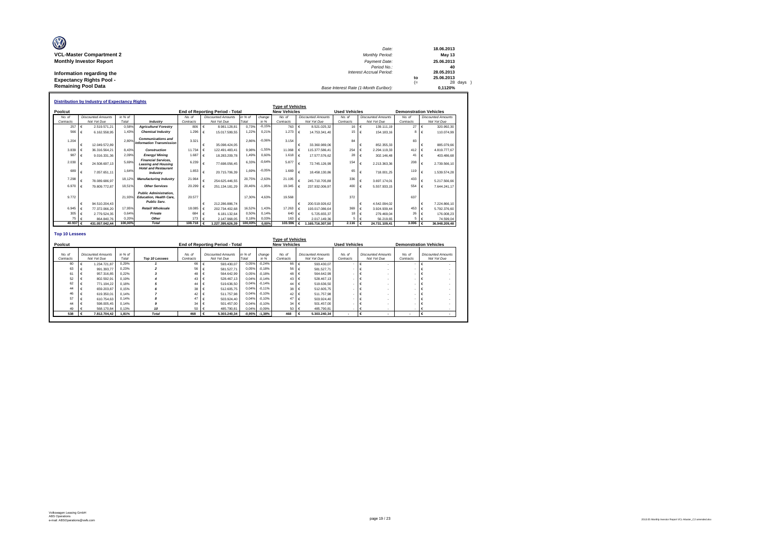| Ø                                                            | Date:                                 | 18.06.2013                     |
|--------------------------------------------------------------|---------------------------------------|--------------------------------|
| <b>VCL-Master Compartment 2</b>                              | <b>Monthly Period:</b>                | May 13                         |
| <b>Monthly Investor Report</b>                               | Payment Date:<br>Period No.:          | 25.06.2013<br>40               |
| Information regarding the<br><b>Expectancy Rights Pool -</b> | <b>Interest Accrual Period:</b>       | 28.05.2013<br>25.06.2013<br>to |
| <b>Remaining Pool Data</b>                                   | Base Interest Rate (1-Month Euribor): | 28 days<br>$(=$<br>0.1120%     |
|                                                              |                                       |                                |

|                      | <b>Distribution by Industry of Expectancy Rights</b> |         |                                                                                        |           |            |                                        |         |          |                         |                  |                           |                      |            |                           |                               |            |                           |
|----------------------|------------------------------------------------------|---------|----------------------------------------------------------------------------------------|-----------|------------|----------------------------------------|---------|----------|-------------------------|------------------|---------------------------|----------------------|------------|---------------------------|-------------------------------|------------|---------------------------|
|                      |                                                      |         |                                                                                        |           |            |                                        |         |          | <b>Type of Vehicles</b> |                  |                           |                      |            |                           |                               |            |                           |
| Poolcut              |                                                      |         |                                                                                        |           |            | <b>End of Reporting Period - Total</b> |         |          | <b>New Vehicles</b>     |                  |                           | <b>Used Vehicles</b> |            |                           | <b>Demonstration Vehicles</b> |            |                           |
| No. of               | <b>Discounted Amounts</b>                            | in % of |                                                                                        | No. of    |            | <b>Discounted Amounts</b>              | in % of | change   | No. of                  |                  | <b>Discounted Amounts</b> | No. of               |            | <b>Discounted Amounts</b> | No. of                        |            | <b>Discounted Amounts</b> |
| Contracts            | Not Yet Due                                          | Total   | Industry                                                                               | Contracts |            | Not Yet Due                            | Total   | in %     | Contracts               |                  | Not Yet Due               | Contracts            |            | Not Yet Due               | Contracts                     |            | Not Yet Due               |
| 257                  | €<br>2.519.571.21                                    | 0.58%   | <b>Agriculture/ Forestrv</b>                                                           | 806       | €          | 8.981.128.81                           | 0.73%   | $-0.15%$ | 763                     | €                | 8.521.025.32              | 16 €                 |            | 139.111.19                | 27                            | $\epsilon$ | 320.992.30                |
| 566                  | 6.162.558.95<br>€                                    | 1.43%   | <b>Chemical Industry</b>                                                               | 1.296     | $\epsilon$ | 15.017.599.55                          | 1.22%   | 0.21%    | 1.273                   | $\epsilon$       | 14.753.341.40             | $15 \quad \in$       |            | 154, 183, 16              | 8                             |            | 110.074.99                |
| 1.204                |                                                      | 2.80%   | <b>Communications and</b>                                                              | 3.321     |            |                                        | 2.86%   | $-0.069$ | 3.154                   |                  |                           | 84                   |            |                           | 83                            |            |                           |
|                      | 12.049.572.89<br>€                                   |         | <b>Information Transmission</b>                                                        |           |            | 35.098.424.05                          |         |          |                         |                  | 33.360.989.06             |                      |            | 852.355.33                |                               |            | 885.079.66                |
| 3.839                | 36.316.564.21<br>€                                   | 8.43%   | Construction                                                                           | 11.734    |            | 122.491.483.41                         | 9.98%   | $-1.55%$ | 11.068                  |                  | 115.377.586.41            | 254                  | $\vdash$   | 2.294.119.33              | 412                           |            | 4.819.777.67              |
| 987                  | $\epsilon$<br>9.016.331.36                           | 2.09%   | Energy/Mining                                                                          | 1.687     | €          | 18.283.209.78                          | 1.49%   | 0.60%    | 1.618                   | $\mathsf{I} \in$ | 17.577.576.62             | 28                   | $\epsilon$ | 302.146.48                | 41                            | €          | 403.486.68                |
| 2.030                |                                                      | 5.69%   | <b>Financial Services.</b>                                                             | 6.239     |            |                                        | 6,33%   | $-0.649$ | 5.877                   |                  |                           | 154                  |            |                           | 208                           |            |                           |
|                      | 24.508.697.13                                        |         | <b>Leasing and Housing</b>                                                             |           | €          | 77.698.056.45                          |         |          |                         | €                | 72.745.126.99             |                      | €          | 2.213.363.36              |                               |            | 2.739.566.10              |
| 689                  | 7.057.651.11                                         | 1.64%   | <b>Hotel and Restaurant</b><br>Industry                                                | 1.853     | €          | 20.715.706.39                          | 1.69%   | $-0.059$ | 1.669                   | €                | 18.458.130.86             | 65                   | $\epsilon$ | 718.001.25                | 119                           |            | 1.539.574.28              |
| 7.298                | 78 089 686 97                                        | 18.129  | <b>Manufacturing Industry</b>                                                          | 21.964    |            | 254 625 446 55                         | 20.75%  | $-2.63%$ | 21.195                  |                  | 245.710.705.88            | 336                  | $\epsilon$ | 3 697 174 01              | 433                           |            | 5.217.566.66              |
| 6.970                | $\epsilon$<br>79.809.772.87                          | 18.51%  | <b>Other Services</b>                                                                  | 20.299    |            | 251.134.181.29                         | 20.46%  | $-1.95%$ | 19.345                  | $\epsilon$       | 237.932.006.97            | 400                  | $\epsilon$ | 5.557.933.15              | 554                           |            | 7.644.241.17              |
| 9.772                | 94.510.204.43<br>€                                   | 21.93%  | <b>Public Administration.</b><br><b>Education, Health Care.</b><br><b>Public Serv.</b> | 20,577    |            | 212.286.886.74                         | 17.30%  | 4.63%    | 19,568                  | €                | 200.519.926.62            | 372                  | €          | 4.542.094.02              | 637                           |            | 7.224.866.10              |
| 6.945                | 77.372.066.20<br>$\epsilon$                          | 17.95%  | Retail/ Wholesale                                                                      | 18,085    |            | 202.734.402.68                         | 16.52%  | 1.43%    | 17.263                  |                  | 193.017.086.64            | 369 €                |            | 3.924.939.44              | 453                           |            | 5.792.376.60              |
| 305                  | 2.779.524.35<br>$\epsilon$                           | 0.64%   | Private                                                                                | 684       | €          | 6.181.132.64                           | 0.50%   | 0.14%    | 640                     | €                | 5.725.655.37              | 18                   | $\epsilon$ | 279.469.04                | 26                            |            | 176,008.23                |
| 75                   | $\epsilon$<br>864.840.76                             | 0.20%   | Other                                                                                  | 173       | €          | 2.147.968.05                           | 0.18%   | 0.03%    | 163                     | $\epsilon$       | 2.017.149.36              | 5                    | $\epsilon$ | 56.219.65                 |                               | €          | 74.599.04                 |
| 40.937 $\varepsilon$ | 431.057.042.44                                       | 100,00% | <b>Total</b>                                                                           | 108,718   |            | 1.227.395.626.39                       | 100,00% | 0.00%    | 103,596                 | €                | 1.165.716.307.50          | 2.116 $\varepsilon$  |            | 24.731.109,41             | 3.006                         |            | 36.948.209,48             |
|                      | <b>Top 10 Lessees</b><br><b>Type of Vehicles</b>     |         |                                                                                        |           |            |                                        |         |          |                         |                  |                           |                      |            |                           |                               |            |                           |

| TYPE OF FEMICIES<br><b>New Vehicles</b><br><b>Used Vehicles</b><br>Poolcut<br><b>End of Reporting Period - Total</b> |           |  |                           |         |                |                 |                           |         |                   |           |  |                           |           | <b>Demonstration Vehicles</b> |                          |                           |
|----------------------------------------------------------------------------------------------------------------------|-----------|--|---------------------------|---------|----------------|-----------------|---------------------------|---------|-------------------|-----------|--|---------------------------|-----------|-------------------------------|--------------------------|---------------------------|
|                                                                                                                      |           |  |                           |         |                |                 |                           |         |                   |           |  |                           |           |                               |                          |                           |
|                                                                                                                      | No. of    |  | <b>Discounted Amounts</b> | in % of |                | No. of          | <b>Discounted Amounts</b> | in % of | change            | No. of    |  | <b>Discounted Amounts</b> | No. of    | <b>Discounted Amounts</b>     | No. of                   | <b>Discounted Amounts</b> |
|                                                                                                                      | Contracts |  | Not Yet Due               | Total   | Top 10 Lessees | Contracts       | Not Yet Due               | Total   | in %              | Contracts |  | Not Yet Due               | Contracts | Not Yet Due                   | Contracts                | Not Yet Due               |
|                                                                                                                      | 60        |  | 1.234.721.87              | 0.29%   |                | 66              | 593.430.07                | 0.05%   | $-0.24%$          | 66        |  | 593.430.07                |           |                               |                          |                           |
|                                                                                                                      | 63        |  | 991.393.77                | 0.23%   |                | 56 €            | 581.527.71                | 0.05%   | $-0.18%$          | 56        |  | 581.527.71                |           |                               |                          |                           |
|                                                                                                                      | 61        |  | 957.316.85                | 0.22%   |                | 48 $\epsilon$   | 564.642.99                | 0.05%   | $-0.18%$          | 48        |  | 564.642.99                |           |                               |                          |                           |
|                                                                                                                      | 52        |  | 802.592.91                | 0.19%   |                | 43 <sup>6</sup> | 528,467.13                | 0.04%   | $-0.14%$          | 43        |  | 528,467.13                |           |                               |                          |                           |
|                                                                                                                      | 62        |  | 771.194.22                | 0.18%   |                | 44              | 519,636.50                |         | $0.04\% -0.14\%$  | 44        |  | 519,636.50                |           |                               |                          |                           |
|                                                                                                                      | 44        |  | 659.203.87                | 0.15%   |                | 38              | 512,605.75                |         | 0.04% -0.11%      | 38        |  | 512,605.75                |           |                               |                          |                           |
|                                                                                                                      | 46        |  | 619,350.01                | 0.14%   |                | $42 \mid 6$     | 511,757.98                | 0.04%   | $-0.10%$          | 42        |  | 511,757.98                |           |                               |                          |                           |
|                                                                                                                      | 57        |  | 610.754.63                | 0.14%   |                | 47              | 503.924.40                |         | 0,04% -0,10%      | 47        |  | 503.924.40                |           |                               |                          |                           |
|                                                                                                                      | 44        |  | 598.005.45                | 0.14%   |                | 34              | 501.457.00                | 0.04%   | $-0.10%$          | 34        |  | 501.457.00                |           |                               |                          |                           |
|                                                                                                                      | 49        |  | 568.170.84                | 0.13%   | 10             | 50 (            | 485,790.81                |         | 0,04% -0,09%      | 50        |  | 485,790.81                |           |                               |                          |                           |
|                                                                                                                      | 538       |  | 7.812.704.42              | 1.81%   | <b>Total</b>   | 468             | 5.303.240.34              |         | $-0.95\% -1.38\%$ | 468       |  | 5.303.240.34              | ۰         |                               | $\overline{\phantom{a}}$ |                           |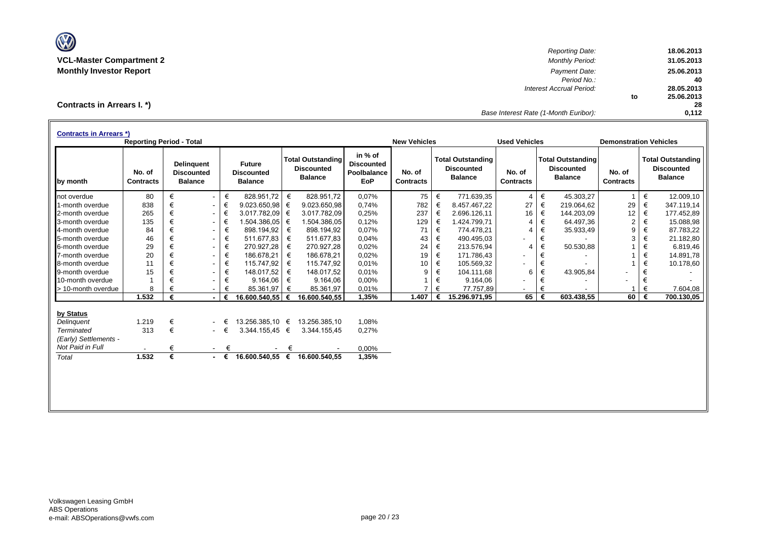

*Reporting Date:* **18.06.2013 VCL-Master Compartment 2** *Monthly Period:* **31.05.2013 Monthly Investor Report** *Payment Date:* **25.06.2013** *Period No.:* **40** *Interest Accrual Period:* **28.05.2013 to 25.06.2013 28** *Base Interest Rate (1-Month Euribor):* **0,112**

**Contracts in Arrears I. \*)**

| <b>Contracts in Arrears *)</b> | <b>Reporting Period - Total</b> |   |                                                          |   |                                                      |   |                                                                 |                                                    | <b>New Vehicles</b>        |   |                                                                 | <b>Used Vehicles</b>       |                                                                 |            | <b>Demonstration Vehicles</b> |   |                                                                 |
|--------------------------------|---------------------------------|---|----------------------------------------------------------|---|------------------------------------------------------|---|-----------------------------------------------------------------|----------------------------------------------------|----------------------------|---|-----------------------------------------------------------------|----------------------------|-----------------------------------------------------------------|------------|-------------------------------|---|-----------------------------------------------------------------|
| by month                       | No. of<br><b>Contracts</b>      |   | <b>Delinguent</b><br><b>Discounted</b><br><b>Balance</b> |   | <b>Future</b><br><b>Discounted</b><br><b>Balance</b> |   | <b>Total Outstanding</b><br><b>Discounted</b><br><b>Balance</b> | in % of<br><b>Discounted</b><br>Poolbalance<br>EoP | No. of<br><b>Contracts</b> |   | <b>Total Outstanding</b><br><b>Discounted</b><br><b>Balance</b> | No. of<br><b>Contracts</b> | <b>Total Outstanding</b><br><b>Discounted</b><br><b>Balance</b> |            | No. of<br><b>Contracts</b>    |   | <b>Total Outstanding</b><br><b>Discounted</b><br><b>Balance</b> |
| not overdue                    | 80                              | € | $\overline{\phantom{0}}$                                 | € | 828.951,72                                           | € | 828.951,72                                                      | 0,07%                                              | 75                         | € | 771.639,35                                                      | $\overline{4}$             | €                                                               | 45.303,27  |                               | € | 12.009,10                                                       |
| 1-month overdue                | 838                             | € | $\blacksquare$                                           | € | 9.023.650,98                                         | € | 9.023.650,98                                                    | 0,74%                                              | 782                        | € | 8.457.467,22                                                    | 27                         | €                                                               | 219.064,62 | 29                            | € | 347.119,14                                                      |
| 2-month overdue                | 265                             | € | $\sim$                                                   | € | 3.017.782,09                                         | € | 3.017.782,09                                                    | 0,25%                                              | 237                        | € | 2.696.126,11                                                    | 16                         | €                                                               | 144.203,09 | 12                            | € | 177.452,89                                                      |
| 3-month overdue                | 135                             | € | $\sim$                                                   | € | 1.504.386,05                                         | € | 1.504.386,05                                                    | 0,12%                                              | 129                        | € | 1.424.799,71                                                    | 4                          | €                                                               | 64.497,36  | $\overline{2}$                | € | 15.088,98                                                       |
| 4-month overdue                | 84                              | € | $\sim$                                                   | € | 898.194,92                                           | € | 898.194,92                                                      | 0,07%                                              | 71                         | € | 774.478,21                                                      | 4                          | €                                                               | 35.933,49  | 9                             | € | 87.783,22                                                       |
| 5-month overdue                | 46                              | € | $\sim$                                                   | € | 511.677,83                                           | € | 511.677,83                                                      | 0,04%                                              | 43                         | € | 490.495,03                                                      |                            | €                                                               |            | 3                             | € | 21.182,80                                                       |
| 6-month overdue                | 29                              | € | $\overline{\phantom{a}}$                                 | € | 270.927,28                                           | € | 270.927,28                                                      | 0,02%                                              | 24                         | € | 213.576.94                                                      | $\overline{4}$             | €                                                               | 50.530,88  |                               | € | 6.819,46                                                        |
| 7-month overdue                | 20                              | € | $\sim$                                                   | € | 186.678,21                                           | € | 186.678,21                                                      | 0,02%                                              | 19                         | € | 171.786,43                                                      |                            | €                                                               |            |                               | € | 14.891,78                                                       |
| 8-month overdue                | 11                              | € | $\sim$                                                   | € | 115.747.92                                           | € | 115.747,92                                                      | 0.01%                                              | 10                         | € | 105.569,32                                                      | ٠                          | €                                                               |            |                               | € | 10.178,60                                                       |
| 9-month overdue                | 15                              | € | $\blacksquare$                                           | € | 148.017,52                                           | € | 148.017,52                                                      | 0.01%                                              | 9                          | € | 104.111,68                                                      | 6                          | €                                                               | 43.905,84  |                               | € |                                                                 |
| 10-month overdue               |                                 |   |                                                          | € | 9.164.06                                             | € | 9.164.06                                                        | 0,00%                                              |                            | € | 9.164,06                                                        |                            | €                                                               |            |                               | € |                                                                 |
| > 10-month overdue             | 8                               |   |                                                          | € | 85.361,97                                            | € | 85.361,97                                                       | 0.01%                                              |                            | € | 77.757,89                                                       |                            | €                                                               |            |                               | € | 7.604,08                                                        |
|                                | 1.532                           | € |                                                          | € | 16.600.540,55                                        | € | 16.600.540,55                                                   | 1,35%                                              | 1.407                      |   | 15.296.971.95                                                   | 65                         | €                                                               | 603.438,55 | 60                            | € | 700.130,05                                                      |
| by Status                      |                                 |   |                                                          |   |                                                      |   |                                                                 |                                                    |                            |   |                                                                 |                            |                                                                 |            |                               |   |                                                                 |
| Delinquent                     | 1.219                           | € |                                                          | € | 13.256.385,10 €                                      |   | 13.256.385,10                                                   | 1,08%                                              |                            |   |                                                                 |                            |                                                                 |            |                               |   |                                                                 |
| <b>Terminated</b>              | 313                             | € | $\sim$                                                   | € | 3.344.155,45 €                                       |   | 3.344.155,45                                                    | 0,27%                                              |                            |   |                                                                 |                            |                                                                 |            |                               |   |                                                                 |
| (Early) Settlements -          |                                 |   |                                                          |   |                                                      |   |                                                                 |                                                    |                            |   |                                                                 |                            |                                                                 |            |                               |   |                                                                 |
| Not Paid in Full               |                                 | € | $\sim$                                                   | € |                                                      | € |                                                                 | 0,00%                                              |                            |   |                                                                 |                            |                                                                 |            |                               |   |                                                                 |
| Total                          | 1.532                           | € | $\sim$ 100 $\mu$                                         | € | 16.600.540,55 €                                      |   | 16.600.540,55                                                   | 1,35%                                              |                            |   |                                                                 |                            |                                                                 |            |                               |   |                                                                 |
|                                |                                 |   |                                                          |   |                                                      |   |                                                                 |                                                    |                            |   |                                                                 |                            |                                                                 |            |                               |   |                                                                 |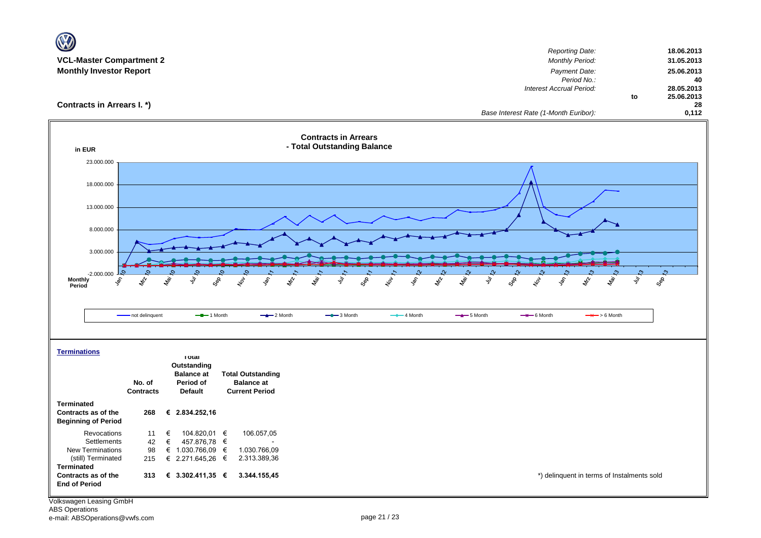| $\mathbf{\overline{V}}$                                                                   |                            |                                                                                 |                                                                                 |                                                            |                           |                                                                                  |                                               |
|-------------------------------------------------------------------------------------------|----------------------------|---------------------------------------------------------------------------------|---------------------------------------------------------------------------------|------------------------------------------------------------|---------------------------|----------------------------------------------------------------------------------|-----------------------------------------------|
| <b>VCL-Master Compartment 2</b><br><b>Monthly Investor Report</b>                         |                            |                                                                                 |                                                                                 |                                                            |                           | <b>Reporting Date:</b><br><b>Monthly Period:</b><br>Payment Date:<br>Period No.: | 18.06.2013<br>31.05.2013<br>25.06.2013<br>40  |
| Contracts in Arrears I. *)                                                                |                            |                                                                                 |                                                                                 |                                                            |                           | Interest Accrual Period:<br>Base Interest Rate (1-Month Euribor):                | 28.05.2013<br>25.06.2013<br>to<br>28<br>0,112 |
| in EUR                                                                                    |                            |                                                                                 |                                                                                 | <b>Contracts in Arrears</b><br>- Total Outstanding Balance |                           |                                                                                  |                                               |
| 23.000.000<br>18.000.000                                                                  |                            |                                                                                 |                                                                                 |                                                            |                           |                                                                                  |                                               |
| 13.000.000                                                                                |                            |                                                                                 |                                                                                 |                                                            |                           |                                                                                  |                                               |
| 8.000.000<br>3.000.000                                                                    |                            |                                                                                 |                                                                                 |                                                            |                           |                                                                                  |                                               |
| $-2.000.000$<br><b>Monthly</b><br>ş,<br>Period                                            | $\mathbf{z}^{\mathbf{y}}$  | lar<br>Ma<br>ş                                                                  | $\frac{1}{2}$<br>GRR<br>$\mathcal{S}^{\downarrow}$<br>$\mathbb{A}^{\mathbb{A}}$ | May<br>ş<br>Sep<br>لمح<br>\$,                              | ş<br>$\mathscr{L}$<br>Ya. | Sep<br>$z^{\phi}$<br>\$,<br>⇘<br>Lø                                              | చి<br>చి<br>Sep.<br>ş                         |
|                                                                                           | - not delinquent           | $-$ -1 Month                                                                    | $-2$ Month                                                                      | $-$ 3 Month<br>$-$ 4 Month                                 | $-$ 5 Month               | $\rightarrow$ 6 Month<br>$\rightarrow$ > 6 Month                                 |                                               |
| <b>Terminations</b>                                                                       | No. of<br><b>Contracts</b> | <b>TOTAL</b><br>Outstanding<br><b>Balance at</b><br>Period of<br><b>Default</b> | <b>Total Outstanding</b><br><b>Balance at</b><br><b>Current Period</b>          |                                                            |                           |                                                                                  |                                               |
| <b>Terminated</b><br>Contracts as of the<br><b>Beginning of Period</b>                    | 268                        | € 2.834.252,16                                                                  |                                                                                 |                                                            |                           |                                                                                  |                                               |
| Revocations<br>Settlements<br>New Terminations<br>(still) Terminated<br><b>Terminated</b> | 11<br>42<br>98<br>215      | 104.820,01 €<br>€<br>€<br>457.876,78 €<br>€ 1.030.766,09 €<br>€ 2.271.645,26 €  | 106.057,05<br>1.030.766,09<br>2.313.389,36                                      |                                                            |                           |                                                                                  |                                               |
| Contracts as of the<br><b>End of Period</b>                                               | 313                        | € 3.302.411,35 €                                                                | 3.344.155,45                                                                    |                                                            |                           | *) delinquent in terms of Instalments sold                                       |                                               |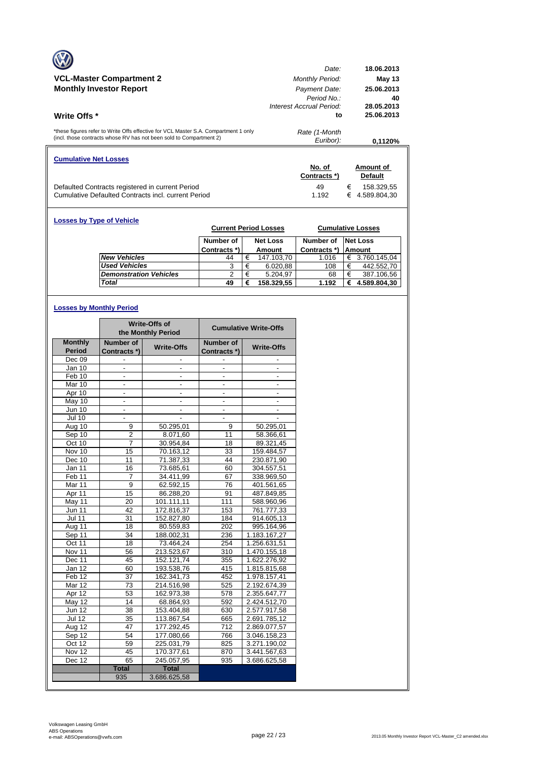|                                                                                                                                                            | Date:                      | 18.06.2013                      |  |  |  |
|------------------------------------------------------------------------------------------------------------------------------------------------------------|----------------------------|---------------------------------|--|--|--|
| <b>VCL-Master Compartment 2</b>                                                                                                                            | <b>Monthly Period:</b>     | May 13                          |  |  |  |
| <b>Monthly Investor Report</b>                                                                                                                             | Payment Date:              | 25.06.2013                      |  |  |  |
|                                                                                                                                                            | Period No.                 | 40                              |  |  |  |
|                                                                                                                                                            | Interest Accrual Period:   | 28.05.2013                      |  |  |  |
| <b>Write Offs</b> *                                                                                                                                        | 25.06.2013<br>to           |                                 |  |  |  |
| *these figures refer to Write Offs effective for VCL Master S.A. Compartment 1 only<br>(incl. those contracts whose RV has not been sold to Compartment 2) | Rate (1-Month<br>Euribor): | 0.1120%                         |  |  |  |
| <b>Cumulative Net Losses</b>                                                                                                                               |                            |                                 |  |  |  |
|                                                                                                                                                            | No. of<br>Contracts *)     | Amount of<br><b>Default</b>     |  |  |  |
|                                                                                                                                                            |                            |                                 |  |  |  |
| Defaulted Contracts registered in current Period                                                                                                           |                            | €                               |  |  |  |
| Cumulative Defaulted Contracts incl. current Period                                                                                                        | 49<br>1.192                | 158.329.55<br>4.589.804.30<br>€ |  |  |  |

| <b>Losses by Type of Vehicle</b> |                               | <b>Current Period Losses</b> |   |                 |              |   | <b>Cumulative Losses</b> |
|----------------------------------|-------------------------------|------------------------------|---|-----------------|--------------|---|--------------------------|
|                                  |                               | Number of                    |   | <b>Net Loss</b> | Number of    |   | <b>Net Loss</b>          |
|                                  |                               |                              |   | Amount          | Contracts *) |   | Amount                   |
|                                  | <b>New Vehicles</b>           | 44                           | € | 147.103,70      | 1.016        | € | 3.760.145,04             |
|                                  | <b>Used Vehicles</b>          | 3                            | € | 6.020,88        | 108          | € | 442.552,70               |
|                                  | <b>Demonstration Vehicles</b> | 2                            | € | 5.204,97        | 68           | € | 387.106,56               |
|                                  | <b>Total</b>                  | 49                           | € | 158.329,55      | 1.192        | € | 4.589.804,30             |

## **Losses by Monthly Period**

|                   |                          | <b>Write-Offs of</b><br>the Monthly Period |                          | <b>Cumulative Write-Offs</b> |
|-------------------|--------------------------|--------------------------------------------|--------------------------|------------------------------|
| <b>Monthly</b>    | Number of                | <b>Write-Offs</b>                          | Number of                | <b>Write-Offs</b>            |
| <b>Period</b>     | Contracts *)             |                                            | Contracts *)             |                              |
| Dec 09            |                          |                                            |                          |                              |
| Jan 10            |                          |                                            |                          |                              |
| Feb 10            | $\frac{1}{2}$            | $\qquad \qquad \blacksquare$               | ٠                        |                              |
| Mar 10            | $\blacksquare$           | $\overline{\phantom{a}}$                   | $\overline{a}$           | ٠                            |
| Apr 10            |                          |                                            |                          |                              |
| May 10            | $\overline{\phantom{a}}$ | $\overline{\phantom{a}}$                   | $\overline{\phantom{a}}$ | $\overline{\phantom{a}}$     |
| <b>Jun 10</b>     | $\blacksquare$           | $\overline{\phantom{a}}$                   | $\overline{\phantom{0}}$ |                              |
| <b>Jul 10</b>     |                          |                                            |                          |                              |
| Aug 10            | 9                        | 50.295,01                                  | 9                        | 50.295,01                    |
| Sep 10            | $\overline{2}$           | 8.071,60                                   | 11                       | 58.366,61                    |
| Oct 10            | $\overline{7}$           | 30.954,84                                  | 18                       | 89.321,45                    |
| Nov 10            | 15                       | 70.163,12                                  | 33                       | 159.484,57                   |
| Dec 10            | 11                       | 71.387,33                                  | 44                       | 230.871,90                   |
| Jan 11            | 16                       | 73.685,61                                  | 60                       | 304.557,51                   |
| Feb <sub>11</sub> | 7                        | 34.411,99                                  | 67                       | 338.969,50                   |
| Mar 11            | 9                        | 62.592,15                                  | 76                       | 401.561,65                   |
| Apr 11            | $\overline{15}$          | 86.288,20                                  | 91                       | 487.849,85                   |
| May 11            | 20                       | 101.111,11                                 | 111                      | 588.960,96                   |
| <b>Jun 11</b>     | 42                       | 172.816,37                                 | 153                      | 761.777,33                   |
| <b>Jul 11</b>     | 31                       | 152.827,80                                 | 184                      | 914.605,13                   |
| Aug 11            | 18                       | 80.559,83                                  | 202                      | 995.164,96                   |
| Sep 11            | 34                       | 188.002,31                                 | 236                      | 1.183.167,27                 |
| Oct 11            | 18                       | 73.464,24                                  | 254                      | 1.256.631,51                 |
| Nov 11            | 56                       | 213.523,67                                 | 310                      | 1.470.155,18                 |
| Dec 11            | 45                       | 152.121,74                                 | 355                      | 1.622.276,92                 |
| Jan 12            | 60                       | 193.538,76                                 | 415                      | 1.815.815,68                 |
| Feb <sub>12</sub> | 37                       | 162.341,73                                 | 452                      | 1.978.157,41                 |
| Mar 12            | 73                       | 214.516,98                                 | 525                      | 2.192.674,39                 |
| Apr 12            | 53                       | 162.973,38                                 | 578                      | 2.355.647,77                 |
| May 12            | 14                       | 68.864,93                                  | 592                      | 2.424.512,70                 |
| Jun 12            | 38                       | 153.404,88                                 | 630                      | 2.577.917,58                 |
| <b>Jul 12</b>     | 35                       | 113.867,54                                 | 665                      | 2.691.785,12                 |
| Aug 12            | 47                       | 177.292,45                                 | 712                      | 2.869.077,57                 |
| Sep 12            | 54                       | 177.080,66                                 | 766                      | 3.046.158,23                 |
| Oct 12            | 59                       | 225.031,79                                 | 825                      | 3.271.190,02                 |
| Nov 12            | 45                       | 170.377,61                                 | 870                      | 3.441.567,63                 |
| Dec $12$          | 65                       | 245.057,95                                 | 935                      | 3.686.625,58                 |
|                   | <b>Total</b>             | <b>Total</b>                               |                          |                              |
|                   | 935                      | 3.686.625,58                               |                          |                              |